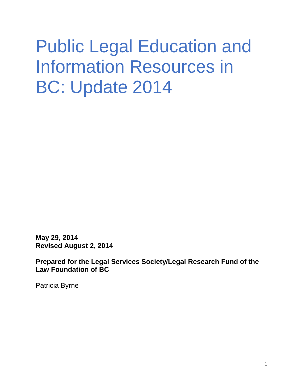# Public Legal Education and Information Resources in BC: Update 2014

**May 29, 2014 Revised August 2, 2014**

**Prepared for the Legal Services Society/Legal Research Fund of the Law Foundation of BC**

Patricia Byrne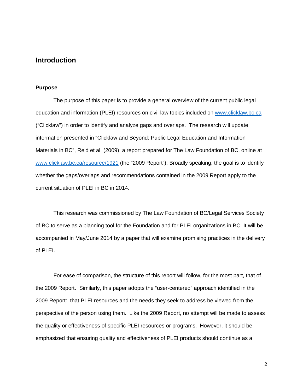# **Introduction**

#### **Purpose**

The purpose of this paper is to provide a general overview of the current public legal education and information (PLEI) resources on civil law topics included on [www.clicklaw.bc.ca](http://www.clicklaw.bc.ca/) ("Clicklaw") in order to identify and analyze gaps and overlaps. The research will update information presented in "Clicklaw and Beyond: Public Legal Education and Information Materials in BC", Reid et al. (2009), a report prepared for The Law Foundation of BC, online at [www.clicklaw.bc.ca/resource/1921](http://www.clicklaw.bc.ca/resource/1921) (the "2009 Report"). Broadly speaking, the goal is to identify whether the gaps/overlaps and recommendations contained in the 2009 Report apply to the current situation of PLEI in BC in 2014.

This research was commissioned by The Law Foundation of BC/Legal Services Society of BC to serve as a planning tool for the Foundation and for PLEI organizations in BC. It will be accompanied in May/June 2014 by a paper that will examine promising practices in the delivery of PLEI.

For ease of comparison, the structure of this report will follow, for the most part, that of the 2009 Report. Similarly, this paper adopts the "user-centered" approach identified in the 2009 Report: that PLEI resources and the needs they seek to address be viewed from the perspective of the person using them. Like the 2009 Report, no attempt will be made to assess the quality or effectiveness of specific PLEI resources or programs. However, it should be emphasized that ensuring quality and effectiveness of PLEI products should continue as a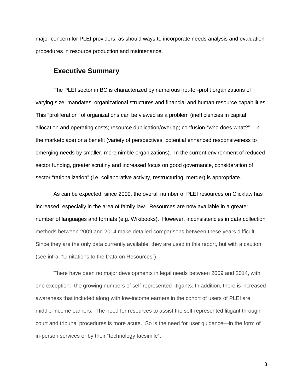major concern for PLEI providers, as should ways to incorporate needs analysis and evaluation procedures in resource production and maintenance.

# **Executive Summary**

The PLEI sector in BC is characterized by numerous not-for-profit organizations of varying size, mandates, organizational structures and financial and human resource capabilities. This "proliferation" of organizations can be viewed as a problem (inefficiencies in capital allocation and operating costs; resource duplication/overlap; confusion-"who does what?"—in the marketplace) or a benefit (variety of perspectives, potential enhanced responsiveness to emerging needs by smaller, more nimble organizations). In the current environment of reduced sector funding, greater scrutiny and increased focus on good governance, consideration of sector "rationalization" (i.e. collaborative activity, restructuring, merger) is appropriate.

As can be expected, since 2009, the overall number of PLEI resources on Clicklaw has increased, especially in the area of family law. Resources are now available in a greater number of languages and formats (e.g. Wikibooks). However, inconsistencies in data collection methods between 2009 and 2014 make detailed comparisons between these years difficult. Since they are the only data currently available, they are used in this report, but with a caution (see infra, "Limitations to the Data on Resources").

There have been no major developments in legal needs between 2009 and 2014, with one exception: the growing numbers of self-represented litigants. In addition, there is increased awareness that included along with low-income earners in the cohort of users of PLEI are middle-income earners. The need for resources to assist the self-represented litigant through court and tribunal procedures is more acute. So is the need for user guidance—in the form of in-person services or by their "technology facsimile".

3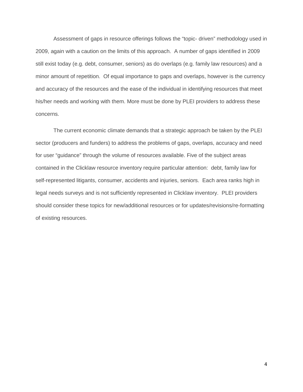Assessment of gaps in resource offerings follows the "topic- driven" methodology used in 2009, again with a caution on the limits of this approach. A number of gaps identified in 2009 still exist today (e.g. debt, consumer, seniors) as do overlaps (e.g. family law resources) and a minor amount of repetition. Of equal importance to gaps and overlaps, however is the currency and accuracy of the resources and the ease of the individual in identifying resources that meet his/her needs and working with them. More must be done by PLEI providers to address these concerns.

The current economic climate demands that a strategic approach be taken by the PLEI sector (producers and funders) to address the problems of gaps, overlaps, accuracy and need for user "guidance" through the volume of resources available. Five of the subject areas contained in the Clicklaw resource inventory require particular attention: debt, family law for self-represented litigants, consumer, accidents and injuries, seniors. Each area ranks high in legal needs surveys and is not sufficiently represented in Clicklaw inventory. PLEI providers should consider these topics for new/additional resources or for updates/revisions/re-formatting of existing resources.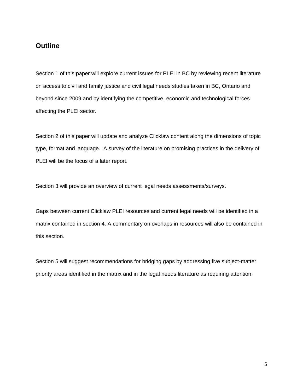# **Outline**

Section 1 of this paper will explore current issues for PLEI in BC by reviewing recent literature on access to civil and family justice and civil legal needs studies taken in BC, Ontario and beyond since 2009 and by identifying the competitive, economic and technological forces affecting the PLEI sector.

Section 2 of this paper will update and analyze Clicklaw content along the dimensions of topic type, format and language. A survey of the literature on promising practices in the delivery of PLEI will be the focus of a later report.

Section 3 will provide an overview of current legal needs assessments/surveys.

Gaps between current Clicklaw PLEI resources and current legal needs will be identified in a matrix contained in section 4. A commentary on overlaps in resources will also be contained in this section.

Section 5 will suggest recommendations for bridging gaps by addressing five subject-matter priority areas identified in the matrix and in the legal needs literature as requiring attention.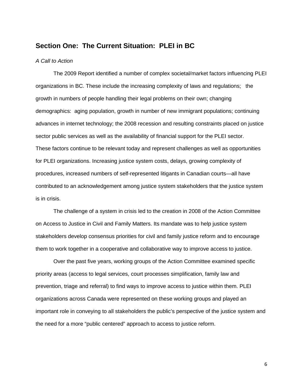## **Section One: The Current Situation: PLEI in BC**

#### *A Call to Action*

The 2009 Report identified a number of complex societal/market factors influencing PLEI organizations in BC. These include the increasing complexity of laws and regulations; the growth in numbers of people handling their legal problems on their own; changing demographics: aging population, growth in number of new immigrant populations; continuing advances in internet technology; the 2008 recession and resulting constraints placed on justice sector public services as well as the availability of financial support for the PLEI sector. These factors continue to be relevant today and represent challenges as well as opportunities for PLEI organizations. Increasing justice system costs, delays, growing complexity of procedures, increased numbers of self-represented litigants in Canadian courts—all have contributed to an acknowledgement among justice system stakeholders that the justice system is in crisis.

The challenge of a system in crisis led to the creation in 2008 of the Action Committee on Access to Justice in Civil and Family Matters. Its mandate was to help justice system stakeholders develop consensus priorities for civil and family justice reform and to encourage them to work together in a cooperative and collaborative way to improve access to justice.

Over the past five years, working groups of the Action Committee examined specific priority areas (access to legal services, court processes simplification, family law and prevention, triage and referral) to find ways to improve access to justice within them. PLEI organizations across Canada were represented on these working groups and played an important role in conveying to all stakeholders the public's perspective of the justice system and the need for a more "public centered" approach to access to justice reform.

6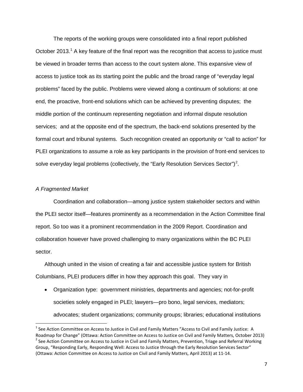The reports of the working groups were consolidated into a final report published October 20[1](#page-6-0)3.<sup>1</sup> A key feature of the final report was the recognition that access to justice must be viewed in broader terms than access to the court system alone. This expansive view of access to justice took as its starting point the public and the broad range of "everyday legal problems" faced by the public. Problems were viewed along a continuum of solutions: at one end, the proactive, front-end solutions which can be achieved by preventing disputes; the middle portion of the continuum representing negotiation and informal dispute resolution services; and at the opposite end of the spectrum, the back-end solutions presented by the formal court and tribunal systems. Such recognition created an opportunity or "call to action" for PLEI organizations to assume a role as key participants in the provision of front-end services to solve everyday legal problems (collectively, the "Early Resolution Services Sector")<sup>[2](#page-6-1)</sup>.

#### *A Fragmented Market*

Coordination and collaboration—among justice system stakeholder sectors and within the PLEI sector itself—features prominently as a recommendation in the Action Committee final report. So too was it a prominent recommendation in the 2009 Report. Coordination and collaboration however have proved challenging to many organizations within the BC PLEI sector.

Although united in the vision of creating a fair and accessible justice system for British Columbians, PLEI producers differ in how they approach this goal. They vary in

• Organization type: government ministries, departments and agencies; not-for-profit societies solely engaged in PLEI; lawyers—pro bono, legal services, mediators; advocates; student organizations; community groups; libraries; educational institutions

<span id="page-6-1"></span><span id="page-6-0"></span> $<sup>1</sup>$  See Action Committee on Access to Justice in Civil and Family Matters "Access to Civil and Family Justice: A</sup> Roadmap for Change" (Ottawa: Action Committee on Access to Justice on Civil and Family Matters, October 2013)<br><sup>2</sup> See Action Committee on Access to Justice in Civil and Family Matters, Prevention, Triage and Referral Worki Group, "Responding Early, Responding Well: Access to Justice through the Early Resolution Services Sector" (Ottawa: Action Committee on Access to Justice on Civil and Family Matters, April 2013) at 11-14.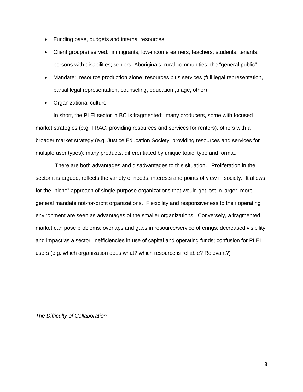- Funding base, budgets and internal resources
- Client group(s) served: immigrants; low-income earners; teachers; students; tenants; persons with disabilities; seniors; Aboriginals; rural communities; the "general public"
- Mandate: resource production alone; resources plus services (full legal representation, partial legal representation, counseling, education ,triage, other)
- Organizational culture

In short, the PLEI sector in BC is fragmented: many producers, some with focused market strategies (e.g. TRAC, providing resources and services for renters), others with a broader market strategy (e.g. Justice Education Society, providing resources and services for multiple user types); many products, differentiated by unique topic, type and format.

There are both advantages and disadvantages to this situation. Proliferation in the sector it is argued, reflects the variety of needs, interests and points of view in society. It allows for the "niche" approach of single-purpose organizations that would get lost in larger, more general mandate not-for-profit organizations. Flexibility and responsiveness to their operating environment are seen as advantages of the smaller organizations. Conversely, a fragmented market can pose problems: overlaps and gaps in resource/service offerings; decreased visibility and impact as a sector; inefficiencies in use of capital and operating funds; confusion for PLEI users (e.g. which organization does what? which resource is reliable? Relevant?)

*The Difficulty of Collaboration*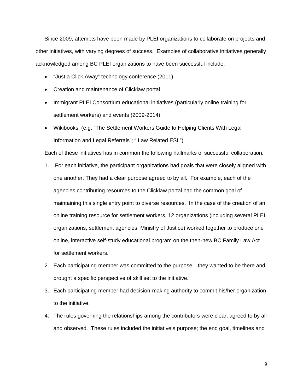Since 2009, attempts have been made by PLEI organizations to collaborate on projects and other initiatives, with varying degrees of success. Examples of collaborative initiatives generally acknowledged among BC PLEI organizations to have been successful include:

- "Just a Click Away" technology conference (2011)
- Creation and maintenance of Clicklaw portal
- Immigrant PLEI Consortium educational initiatives (particularly online training for settlement workers) and events (2009-2014)
- Wikibooks: (e.g. "The Settlement Workers Guide to Helping Clients With Legal Information and Legal Referrals"; " Law Related ESL")

Each of these initiatives has in common the following hallmarks of successful collaboration:

- 1. For each initiative, the participant organizations had goals that were closely aligned with one another. They had a clear purpose agreed to by all. For example, each of the agencies contributing resources to the Clicklaw portal had the common goal of maintaining this single entry point to diverse resources. In the case of the creation of an online training resource for settlement workers, 12 organizations (including several PLEI organizations, settlement agencies, Ministry of Justice) worked together to produce one online, interactive self-study educational program on the then-new BC Family Law Act for settlement workers.
- 2. Each participating member was committed to the purpose—they wanted to be there and brought a specific perspective of skill set to the initiative.
- 3. Each participating member had decision-making authority to commit his/her organization to the initiative.
- 4. The rules governing the relationships among the contributors were clear, agreed to by all and observed. These rules included the initiative's purpose; the end goal, timelines and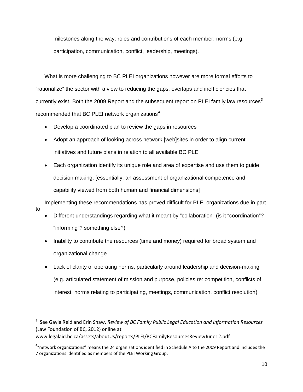milestones along the way; roles and contributions of each member; norms (e.g. participation, communication, conflict, leadership, meetings).

What is more challenging to BC PLEI organizations however are more formal efforts to "rationalize" the sector with a view to reducing the gaps, overlaps and inefficiencies that currently exist. Both the 2009 Report and the subsequent report on PLEI family law resources<sup>[3](#page-9-0)</sup> recommended that BC PLEI network organizations<sup>[4](#page-9-1)</sup>

• Develop a coordinated plan to review the gaps in resources

to

- Adopt an approach of looking across network [web]sites in order to align current initiatives and future plans in relation to all available BC PLEI
- Each organization identify its unique role and area of expertise and use them to guide decision making. [essentially, an assessment of organizational competence and capability viewed from both human and financial dimensions]

Implementing these recommendations has proved difficult for PLEI organizations due in part

- Different understandings regarding what it meant by "collaboration" (is it "coordination"? "informing"? something else?)
- Inability to contribute the resources (time and money) required for broad system and organizational change
- Lack of clarity of operating norms, particularly around leadership and decision-making (e.g. articulated statement of mission and purpose, policies re: competition, conflicts of interest, norms relating to participating, meetings, communication, conflict resolution)

www.legalaid.bc.ca/assets/aboutUs/reports/PLEI/BCFamilyResourcesReviewJune12.pdf

<span id="page-9-0"></span><sup>-&</sup>lt;br>3 <sup>3</sup> See Gayla Reid and Erin Shaw, *Review of BC Family Public Legal Education and Information Resources* (Law Foundation of BC, 2012) online at

<span id="page-9-1"></span><sup>&</sup>lt;sup>4</sup>"network organizations" means the 24 organizations identified in Schedule A to the 2009 Report and includes the 7 organizations identified as members of the PLEI Working Group.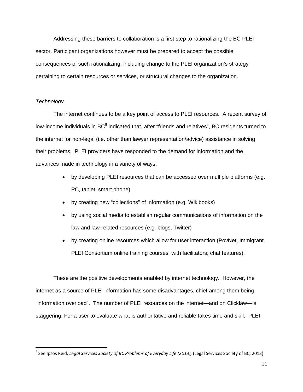Addressing these barriers to collaboration is a first step to rationalizing the BC PLEI sector. Participant organizations however must be prepared to accept the possible consequences of such rationalizing, including change to the PLEI organization's strategy pertaining to certain resources or services, or structural changes to the organization.

#### *Technology*

The internet continues to be a key point of access to PLEI resources. A recent survey of low-income individuals in BC<sup>[5](#page-10-0)</sup> indicated that, after "friends and relatives", BC residents turned to the internet for non-legal (i.e. other than lawyer representation/advice) assistance in solving their problems. PLEI providers have responded to the demand for information and the advances made in technology in a variety of ways:

- by developing PLEI resources that can be accessed over multiple platforms (e.g. PC, tablet, smart phone)
- by creating new "collections" of information (e.g. Wikibooks)
- by using social media to establish regular communications of information on the law and law-related resources (e.g. blogs, Twitter)
- by creating online resources which allow for user interaction (PovNet, Immigrant PLEI Consortium online training courses, with facilitators; chat features).

These are the positive developments enabled by internet technology. However, the internet as a source of PLEI information has some disadvantages, chief among them being "information overload". The number of PLEI resources on the internet—and on Clicklaw—is staggering. For a user to evaluate what is authoritative and reliable takes time and skill. PLEI

<span id="page-10-0"></span><sup>&</sup>lt;sup>5</sup> See Ipsos Reid, *Legal Services Society of BC Problems of Everyday Life (2013)*, (Legal Services Society of BC, 2013)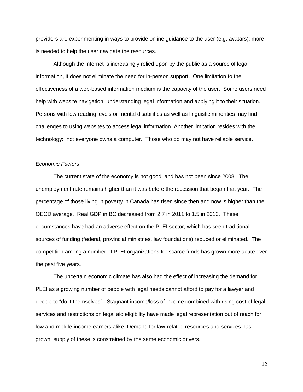providers are experimenting in ways to provide online guidance to the user (e.g. avatars); more is needed to help the user navigate the resources.

Although the internet is increasingly relied upon by the public as a source of legal information, it does not eliminate the need for in-person support. One limitation to the effectiveness of a web-based information medium is the capacity of the user. Some users need help with website navigation, understanding legal information and applying it to their situation. Persons with low reading levels or mental disabilities as well as linguistic minorities may find challenges to using websites to access legal information. Another limitation resides with the technology: not everyone owns a computer. Those who do may not have reliable service.

#### *Economic Factors*

The current state of the economy is not good, and has not been since 2008. The unemployment rate remains higher than it was before the recession that began that year. The percentage of those living in poverty in Canada has risen since then and now is higher than the OECD average. Real GDP in BC decreased from 2.7 in 2011 to 1.5 in 2013. These circumstances have had an adverse effect on the PLEI sector, which has seen traditional sources of funding (federal, provincial ministries, law foundations) reduced or eliminated. The competition among a number of PLEI organizations for scarce funds has grown more acute over the past five years.

The uncertain economic climate has also had the effect of increasing the demand for PLEI as a growing number of people with legal needs cannot afford to pay for a lawyer and decide to "do it themselves". Stagnant income/loss of income combined with rising cost of legal services and restrictions on legal aid eligibility have made legal representation out of reach for low and middle-income earners alike. Demand for law-related resources and services has grown; supply of these is constrained by the same economic drivers.

12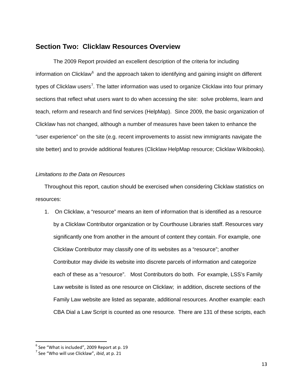# **Section Two: Clicklaw Resources Overview**

The 2009 Report provided an excellent description of the criteria for including information on Clicklaw<sup>[6](#page-12-0)</sup> and the approach taken to identifying and gaining insight on different types of Clicklaw users<sup>[7](#page-12-1)</sup>. The latter information was used to organize Clicklaw into four primary sections that reflect what users want to do when accessing the site: solve problems, learn and teach, reform and research and find services (HelpMap). Since 2009, the basic organization of Clicklaw has not changed, although a number of measures have been taken to enhance the "user experience" on the site (e.g. recent improvements to assist new immigrants navigate the site better) and to provide additional features (Clicklaw HelpMap resource; Clicklaw Wikibooks).

## *Limitations to the Data on Resources*

Throughout this report, caution should be exercised when considering Clicklaw statistics on resources:

1. On Clicklaw, a "resource" means an item of information that is identified as a resource by a Clicklaw Contributor organization or by Courthouse Libraries staff. Resources vary significantly one from another in the amount of content they contain. For example, one Clicklaw Contributor may classify one of its websites as a "resource"; another Contributor may divide its website into discrete parcels of information and categorize each of these as a "resource". Most Contributors do both. For example, LSS's Family Law website is listed as one resource on Clicklaw; in addition, discrete sections of the Family Law website are listed as separate, additional resources. Another example: each CBA Dial a Law Script is counted as one resource. There are 131 of these scripts, each

<span id="page-12-0"></span> $6$  See "What is included", 2009 Report at p. 19

<span id="page-12-1"></span><sup>7</sup> See "Who will use Clicklaw", *ibid*, at p. 21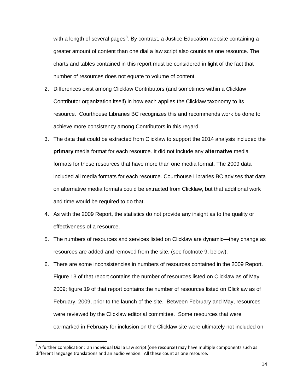with a length of several pages<sup>[8](#page-13-0)</sup>. By contrast, a Justice Education website containing a greater amount of content than one dial a law script also counts as one resource. The charts and tables contained in this report must be considered in light of the fact that number of resources does not equate to volume of content.

- 2. Differences exist among Clicklaw Contributors (and sometimes within a Clicklaw Contributor organization itself) in how each applies the Clicklaw taxonomy to its resource. Courthouse Libraries BC recognizes this and recommends work be done to achieve more consistency among Contributors in this regard.
- 3. The data that could be extracted from Clicklaw to support the 2014 analysis included the **primary** media format for each resource. It did not include any **alternative** media formats for those resources that have more than one media format. The 2009 data included all media formats for each resource. Courthouse Libraries BC advises that data on alternative media formats could be extracted from Clicklaw, but that additional work and time would be required to do that.
- 4. As with the 2009 Report, the statistics do not provide any insight as to the quality or effectiveness of a resource.
- 5. The numbers of resources and services listed on Clicklaw are dynamic—they change as resources are added and removed from the site. (see footnote 9, below).
- 6. There are some inconsistencies in numbers of resources contained in the 2009 Report. Figure 13 of that report contains the number of resources listed on Clicklaw as of May 2009; figure 19 of that report contains the number of resources listed on Clicklaw as of February, 2009, prior to the launch of the site. Between February and May, resources were reviewed by the Clicklaw editorial committee. Some resources that were earmarked in February for inclusion on the Clicklaw site were ultimately not included on

<span id="page-13-0"></span><sup>&</sup>lt;sup>8</sup> A further complication: an individual Dial a Law script (one resource) may have multiple components such as different language translations and an audio version. All these count as one resource.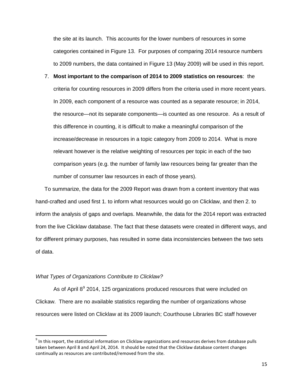the site at its launch. This accounts for the lower numbers of resources in some categories contained in Figure 13. For purposes of comparing 2014 resource numbers to 2009 numbers, the data contained in Figure 13 (May 2009) will be used in this report.

7. **Most important to the comparison of 2014 to 2009 statistics on resources**: the criteria for counting resources in 2009 differs from the criteria used in more recent years. In 2009, each component of a resource was counted as a separate resource; in 2014, the resource—not its separate components—is counted as one resource. As a result of this difference in counting, it is difficult to make a meaningful comparison of the increase/decrease in resources in a topic category from 2009 to 2014. What is more relevant however is the relative weighting of resources per topic in each of the two comparison years (e.g. the number of family law resources being far greater than the number of consumer law resources in each of those years).

To summarize, the data for the 2009 Report was drawn from a content inventory that was hand-crafted and used first 1. to inform what resources would go on Clicklaw, and then 2. to inform the analysis of gaps and overlaps. Meanwhile, the data for the 2014 report was extracted from the live Clicklaw database. The fact that these datasets were created in different ways, and for different primary purposes, has resulted in some data inconsistencies between the two sets of data.

#### *What Types of Organizations Contribute to Clicklaw?*

As of April  $8^9$  $8^9$  2014, 125 organizations produced resources that were included on Clickaw. There are no available statistics regarding the number of organizations whose resources were listed on Clicklaw at its 2009 launch; Courthouse Libraries BC staff however

<span id="page-14-0"></span> $9$  In this report, the statistical information on Clicklaw organizations and resources derives from database pulls taken between April 8 and April 24, 2014. It should be noted that the Clicklaw database content changes continually as resources are contributed/removed from the site.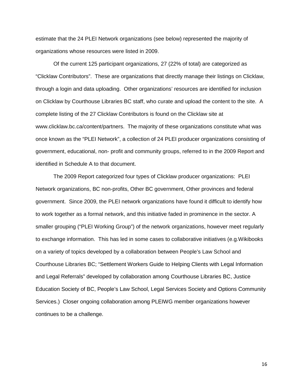estimate that the 24 PLEI Network organizations (see below) represented the majority of organizations whose resources were listed in 2009.

Of the current 125 participant organizations, 27 (22% of total) are categorized as "Clicklaw Contributors". These are organizations that directly manage their listings on Clicklaw, through a login and data uploading. Other organizations' resources are identified for inclusion on Clicklaw by Courthouse Libraries BC staff, who curate and upload the content to the site. A complete listing of the 27 Clicklaw Contributors is found on the Clicklaw site at www.clicklaw.bc.ca/content/partners. The majority of these organizations constitute what was once known as the "PLEI Network", a collection of 24 PLEI producer organizations consisting of government, educational, non- profit and community groups, referred to in the 2009 Report and identified in Schedule A to that document.

The 2009 Report categorized four types of Clicklaw producer organizations: PLEI Network organizations, BC non-profits, Other BC government, Other provinces and federal government. Since 2009, the PLEI network organizations have found it difficult to identify how to work together as a formal network, and this initiative faded in prominence in the sector. A smaller grouping ("PLEI Working Group") of the network organizations, however meet regularly to exchange information. This has led in some cases to collaborative initiatives (e.g.Wikibooks on a variety of topics developed by a collaboration between People's Law School and Courthouse Libraries BC; "Settlement Workers Guide to Helping Clients with Legal Information and Legal Referrals" developed by collaboration among Courthouse Libraries BC, Justice Education Society of BC, People's Law School, Legal Services Society and Options Community Services.) Closer ongoing collaboration among PLEIWG member organizations however continues to be a challenge.

16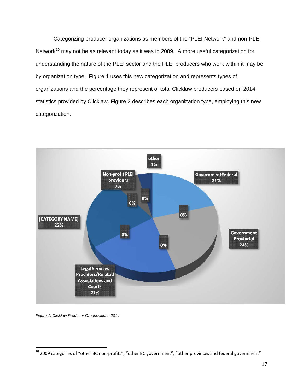Categorizing producer organizations as members of the "PLEI Network" and non-PLEI Network<sup>[10](#page-16-0)</sup> may not be as relevant today as it was in 2009. A more useful categorization for understanding the nature of the PLEI sector and the PLEI producers who work within it may be by organization type. Figure 1 uses this new categorization and represents types of organizations and the percentage they represent of total Clicklaw producers based on 2014 statistics provided by Clicklaw. Figure 2 describes each organization type, employing this new categorization.



*Figure 1: Clicklaw Producer Organizations 2014*

<span id="page-16-0"></span> $10$  2009 categories of "other BC non-profits", "other BC government", "other provinces and federal government"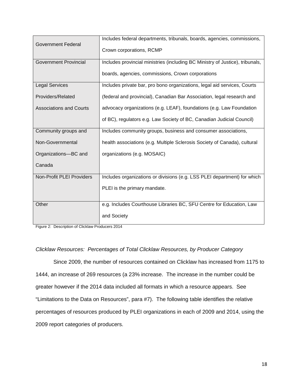|                                | Includes federal departments, tribunals, boards, agencies, commissions,       |
|--------------------------------|-------------------------------------------------------------------------------|
| <b>Government Federal</b>      | Crown corporations, RCMP                                                      |
| <b>Government Provincial</b>   | Includes provincial ministries (including BC Ministry of Justice), tribunals, |
|                                | boards, agencies, commissions, Crown corporations                             |
| <b>Legal Services</b>          | Includes private bar, pro bono organizations, legal aid services, Courts      |
| Providers/Related              | (federal and provincial), Canadian Bar Association, legal research and        |
| <b>Associations and Courts</b> | advocacy organizations (e.g. LEAF), foundations (e.g. Law Foundation          |
|                                | of BC), regulators e.g. Law Society of BC, Canadian Judicial Council)         |
| Community groups and           | Includes community groups, business and consumer associations,                |
| Non-Governmental               | health associations (e.g. Multiple Sclerosis Society of Canada), cultural     |
| Organizations-BC and           | organizations (e.g. MOSAIC)                                                   |
| Canada                         |                                                                               |
| Non-Profit PLEI Providers      | Includes organizations or divisions (e.g. LSS PLEI department) for which      |
|                                | PLEI is the primary mandate.                                                  |
| Other                          | e.g. Includes Courthouse Libraries BC, SFU Centre for Education, Law          |
|                                | and Society                                                                   |

Figure 2: Description of Clicklaw Producers 2014

#### *Clicklaw Resources: Percentages of Total Clicklaw Resources, by Producer Category*

Since 2009, the number of resources contained on Clicklaw has increased from 1175 to 1444, an increase of 269 resources (a 23% increase. The increase in the number could be greater however if the 2014 data included all formats in which a resource appears. See "Limitations to the Data on Resources", para #7). The following table identifies the relative percentages of resources produced by PLEI organizations in each of 2009 and 2014, using the 2009 report categories of producers.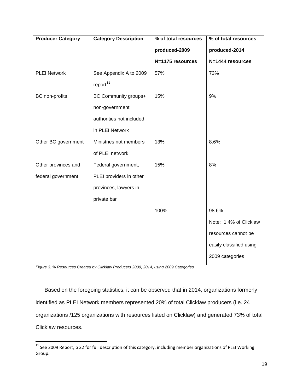| <b>Producer Category</b> | <b>Category Description</b> | % of total resources | % of total resources    |
|--------------------------|-----------------------------|----------------------|-------------------------|
|                          |                             | produced-2009        | produced-2014           |
|                          |                             | N=1175 resources     | N=1444 resources        |
| <b>PLEI Network</b>      | See Appendix A to 2009      | 57%                  | 73%                     |
|                          | report $11$ .               |                      |                         |
| <b>BC</b> non-profits    | BC Community groups+        | 15%                  | 9%                      |
|                          | non-government              |                      |                         |
|                          | authorities not included    |                      |                         |
|                          | in PLEI Network             |                      |                         |
| Other BC government      | Ministries not members      | 13%                  | 8.6%                    |
|                          | of PLEI network             |                      |                         |
| Other provinces and      | Federal government,         | 15%                  | 8%                      |
| federal government       | PLEI providers in other     |                      |                         |
|                          | provinces, lawyers in       |                      |                         |
|                          | private bar                 |                      |                         |
|                          |                             | 100%                 | 98.6%                   |
|                          |                             |                      | Note: 1.4% of Clicklaw  |
|                          |                             |                      | resources cannot be     |
|                          |                             |                      | easily classified using |
|                          |                             |                      | 2009 categories         |

*Figure 3: % Resources Created by Clicklaw Producers 2009, 2014, using 2009 Categories*

Based on the foregoing statistics, it can be observed that in 2014, organizations formerly identified as PLEI Network members represented 20% of total Clicklaw producers (i.e. 24 organizations /125 organizations with resources listed on Clicklaw) and generated 73% of total Clicklaw resources.

<span id="page-18-0"></span> $11$  See 2009 Report, p 22 for full description of this category, including member organizations of PLEI Working Group.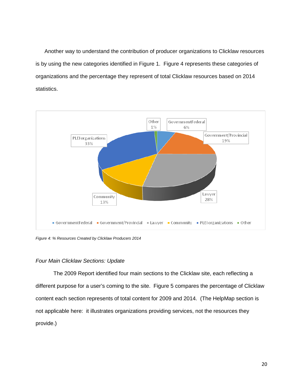Another way to understand the contribution of producer organizations to Clicklaw resources is by using the new categories identified in Figure 1. Figure 4 represents these categories of organizations and the percentage they represent of total Clicklaw resources based on 2014 statistics.



*Figure 4: % Resources Created by Clicklaw Producers 2014*

#### *Four Main Clicklaw Sections: Update*

The 2009 Report identified four main sections to the Clicklaw site, each reflecting a different purpose for a user's coming to the site. Figure 5 compares the percentage of Clicklaw content each section represents of total content for 2009 and 2014. (The HelpMap section is not applicable here: it illustrates organizations providing services, not the resources they provide.)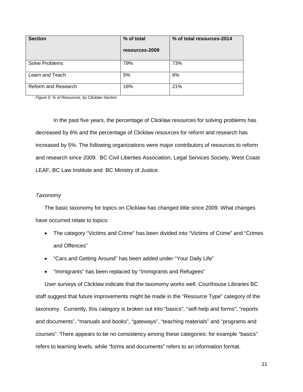| <b>Section</b>      | % of total<br>resources-2009 | % of total resources-2014 |
|---------------------|------------------------------|---------------------------|
| Solve Problems      | 79%                          | 73%                       |
| Learn and Teach     | 5%                           | 6%                        |
| Reform and Research | 16%                          | 21%                       |

*Figure 5: % of Resources, by Clicklaw Section*

In the past five years, the percentage of Clicklaw resources for solving problems has decreased by 6% and the percentage of Clicklaw resources for reform and research has increased by 5%. The following organizations were major contributors of resources to reform and research since 2009: BC Civil Liberties Association, Legal Services Society, West Coast LEAF, BC Law Institute and BC Ministry of Justice.

#### *Taxonomy*

The basic taxonomy for topics on Clicklaw has changed little since 2009. What changes have occurred relate to topics:

- The category "Victims and Crime" has been divided into "Victims of Crime" and "Crimes and Offences"
- "Cars and Getting Around" has been added under "Your Daily Life"
- "Immigrants" has been replaced by "Immigrants and Refugees"

User surveys of Clicklaw indicate that the taxonomy works well. Courthouse Libraries BC staff suggest that future improvements might be made in the "Resource Type" category of the taxonomy. Currently, this category is broken out into "basics", "self-help and forms", "reports and documents", "manuals and books", "gateways", "teaching materials" and "programs and courses". There appears to be no consistency among these categories: for example "basics" refers to learning levels, while "forms and documents" refers to an information format.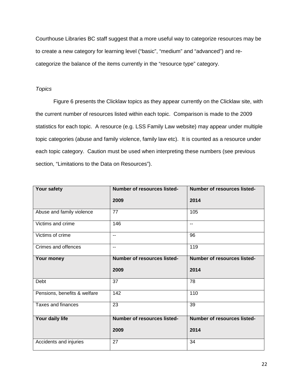Courthouse Libraries BC staff suggest that a more useful way to categorize resources may be to create a new category for learning level ("basic", "medium" and "advanced") and recategorize the balance of the items currently in the "resource type" category.

## *Topics*

Figure 6 presents the Clicklaw topics as they appear currently on the Clicklaw site, with the current number of resources listed within each topic. Comparison is made to the 2009 statistics for each topic. A resource (e.g. LSS Family Law website) may appear under multiple topic categories (abuse and family violence, family law etc). It is counted as a resource under each topic category. Caution must be used when interpreting these numbers (see previous section, "Limitations to the Data on Resources").

| Your safety                  | <b>Number of resources listed-</b> | <b>Number of resources listed-</b> |  |
|------------------------------|------------------------------------|------------------------------------|--|
|                              | 2009                               | 2014                               |  |
| Abuse and family violence    | 77                                 | 105                                |  |
| Victims and crime            | 146                                | $\overline{\phantom{a}}$           |  |
| Victims of crime             | $\overline{\phantom{a}}$           | 96                                 |  |
| Crimes and offences          | $\overline{a}$                     | 119                                |  |
| Your money                   | Number of resources listed-        | <b>Number of resources listed-</b> |  |
|                              | 2009                               | 2014                               |  |
| Debt                         | 37                                 | 78                                 |  |
| Pensions, benefits & welfare | 142                                | 110                                |  |
| Taxes and finances           | 23                                 | 39                                 |  |
| Your daily life              | Number of resources listed-        | <b>Number of resources listed-</b> |  |
|                              | 2009                               | 2014                               |  |
| Accidents and injuries       | 27                                 | 34                                 |  |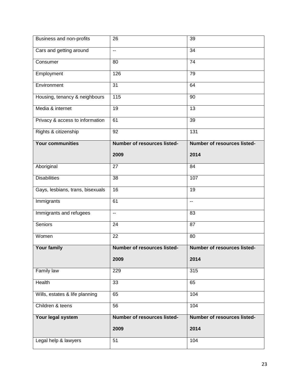| Business and non-profits         | 26                                 | 39                          |
|----------------------------------|------------------------------------|-----------------------------|
| Cars and getting around          | $\overline{\phantom{a}}$           | 34                          |
| Consumer                         | 80                                 | 74                          |
| Employment                       | 126                                | 79                          |
| Environment                      | $\overline{31}$                    | 64                          |
| Housing, tenancy & neighbours    | $\frac{115}{115}$                  | 90                          |
| Media & internet                 | $\overline{19}$                    | 13                          |
| Privacy & access to information  | 61                                 | 39                          |
| Rights & citizenship             | $\overline{92}$                    | 131                         |
| <b>Your communities</b>          | Number of resources listed-        | Number of resources listed- |
|                                  | 2009                               | 2014                        |
| Aboriginal                       | 27                                 | 84                          |
| <b>Disabilities</b>              | 38                                 | 107                         |
| Gays, lesbians, trans, bisexuals | 16                                 | 19                          |
| Immigrants                       | 61                                 | --                          |
| Immigrants and refugees          | $\overline{\phantom{a}}$           | 83                          |
| Seniors                          | 24                                 | 87                          |
| Women                            | 22                                 | 80                          |
| <b>Your family</b>               | <b>Number of resources listed-</b> | Number of resources listed- |
|                                  | 2009                               | 2014                        |
| Family law                       | 229                                | 315                         |
| <b>Health</b>                    | 33                                 | 65                          |
| Wills, estates & life planning   | 65                                 | 104                         |
| Children & teens                 | 56                                 | 104                         |
| Your legal system                | Number of resources listed-        | Number of resources listed- |
|                                  | 2009                               | 2014                        |
| Legal help & lawyers             | 51                                 | 104                         |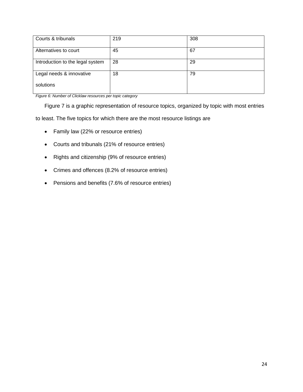| Courts & tribunals               | 219 | 308 |
|----------------------------------|-----|-----|
| Alternatives to court            | 45  | 67  |
| Introduction to the legal system | 28  | 29  |
| Legal needs & innovative         | 18  | 79  |
| solutions                        |     |     |

*Figure 6: Number of Clicklaw resources per topic category*

Figure 7 is a graphic representation of resource topics, organized by topic with most entries

to least. The five topics for which there are the most resource listings are

- Family law (22% or resource entries)
- Courts and tribunals (21% of resource entries)
- Rights and citizenship (9% of resource entries)
- Crimes and offences (8.2% of resource entries)
- Pensions and benefits (7.6% of resource entries)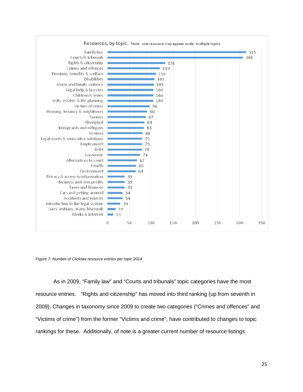

*Figure 7: Number of Clicklaw resource entries per topic 2014*

As in 2009, "Family law" and "Courts and tribunals" topic categories have the most resource entries. "Rights and citizenship" has moved into third ranking (up from seventh in 2009). Changes in taxonomy since 2009 to create two categories ("Crimes and offences" and "Victims of crime") from the former "Victims and crime", have contributed to changes to topic rankings for these. Additionally, of note is a greater current number of resource listings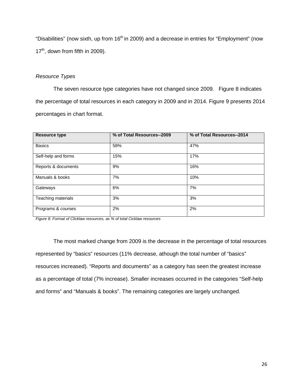"Disabilities" (now sixth, up from  $16<sup>th</sup>$  in 2009) and a decrease in entries for "Employment" (now  $17<sup>th</sup>$ , down from fifth in 2009).

## *Resource Types*

The seven resource type categories have not changed since 2009. Figure 8 indicates the percentage of total resources in each category in 2009 and in 2014. Figure 9 presents 2014 percentages in chart format.

| <b>Resource type</b> | % of Total Resources--2009 | % of Total Resources--2014 |  |
|----------------------|----------------------------|----------------------------|--|
| <b>Basics</b>        | 58%                        | 47%                        |  |
| Self-help and forms  | 15%                        | 17%                        |  |
| Reports & documents  | 9%                         | 16%                        |  |
| Manuals & books      | 7%                         | 10%                        |  |
| Gateways             | 6%                         | 7%                         |  |
| Teaching materials   | 3%                         | 3%                         |  |
| Programs & courses   | 2%                         | 2%                         |  |

*Figure 8: Format of Clicklaw resources, as % of total Cicklaw resources*

The most marked change from 2009 is the decrease in the percentage of total resources represented by "basics" resources (11% decrease, athough the total number of "basics" resources increased). "Reports and documents" as a category has seen the greatest increase as a percentage of total (7% increase). Smaller increases occurred in the categories "Self-help and forms" and "Manuals & books". The remaining categories are largely unchanged.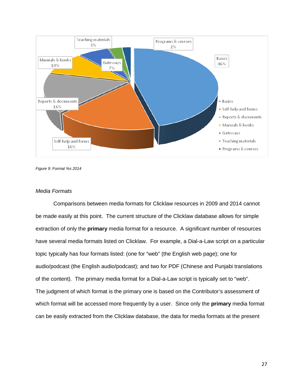

*Figure 9: Format %s 2014*

#### *Media Formats*

Comparisons between media formats for Clicklaw resources in 2009 and 2014 cannot be made easily at this point. The current structure of the Clicklaw database allows for simple extraction of only the **primary** media format for a resource. A significant number of resources have several media formats listed on Clicklaw. For example, a Dial-a-Law script on a particular topic typically has four formats listed: (one for "web" (the English web page); one for audio/podcast (the English audio/podcast); and two for PDF (Chinese and Punjabi translations of the content). The primary media format for a Dial-a-Law script is typically set to "web". The judgment of which format is the primary one is based on the Contributor's assessment of which format will be accessed more frequently by a user. Since only the **primary** media format can be easily extracted from the Clicklaw database, the data for media formats at the present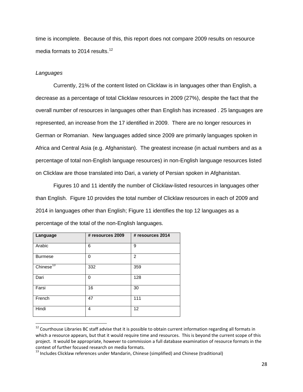time is incomplete. Because of this, this report does not compare 2009 results on resource media formats to 2014 results.<sup>[12](#page-27-0)</sup>

#### *Languages*

Currently, 21% of the content listed on Clicklaw is in languages other than English, a decrease as a percentage of total Clicklaw resources in 2009 (27%), despite the fact that the overall number of resources in languages other than English has increased . 25 languages are represented, an increase from the 17 identified in 2009. There are no longer resources in German or Romanian. New languages added since 2009 are primarily languages spoken in Africa and Central Asia (e.g. Afghanistan). The greatest increase (in actual numbers and as a percentage of total non-English language resources) in non-English language resources listed on Clicklaw are those translated into Dari, a variety of Persian spoken in Afghanistan.

Figures 10 and 11 identify the number of Clicklaw-listed resources in languages other than English. Figure 10 provides the total number of Clicklaw resources in each of 2009 and 2014 in languages other than English; Figure 11 identifies the top 12 languages as a percentage of the total of the non-English languages.

| Language              | # resources 2009 | # resources 2014 |  |
|-----------------------|------------------|------------------|--|
| Arabic                | 6                | 9                |  |
| <b>Burmese</b>        | 0                | 2                |  |
| Chinese <sup>13</sup> | 332              | 359              |  |
| Dari                  | 0                | 128              |  |
| Farsi                 | 16               | 30               |  |
| French                | 47               | 111              |  |
| Hindi                 | 4                | 12               |  |

<span id="page-27-0"></span><sup>&</sup>lt;sup>12</sup> Courthouse Libraries BC staff advise that it is possible to obtain current information regarding all formats in which a resource appears, but that it would require time and resources. This is beyond the current scope of this project. It would be appropriate, however to commission a full database examination of resource formats in the context of further focused research on media formats.

<span id="page-27-1"></span><sup>&</sup>lt;sup>13</sup> Includes Clicklaw references under Mandarin, Chinese (simplified) and Chinese (traditional)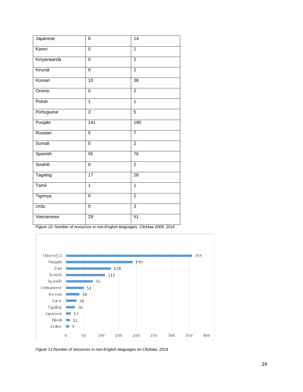| Japanese    | 6              | 14              |
|-------------|----------------|-----------------|
| Karen       | $\mathbf 0$    | $\mathbf{1}$    |
| Kinyarwanda | $\mathbf 0$    | $\overline{2}$  |
| Kirundi     | $\overline{0}$ | $\overline{2}$  |
| Korean      | 10             | 38              |
| Oromo       | $\mathbf 0$    | $\overline{2}$  |
| Polish      | 1              | $\overline{1}$  |
| Portuguese  | $\mathfrak{S}$ | 5               |
| Punjabi     | 141            | 190             |
| Russian     | $\overline{5}$ | $\overline{7}$  |
| Somali      | $\mathbf 0$    | $\overline{2}$  |
| Spanish     | 55             | 76              |
| Swahili     | $\overline{0}$ | $\overline{2}$  |
| Tagalog     | 17             | $\overline{26}$ |
| Tamil       | $\overline{1}$ | $\overline{1}$  |
| Tigrinya    | $\overline{0}$ | $\overline{2}$  |
| Urdu        | $\overline{0}$ | $\overline{3}$  |
| Vietnamese  | 29             | $\overline{51}$ |

*Figure 10: Number of resources in non-English languages, Clicklaw 2009, 2014*



*Figure 11:Number of resources in non-English languages on Clicklaw, 2014*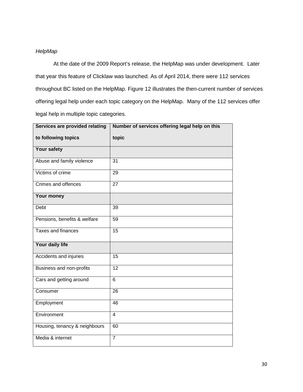## *HelpMap*

At the date of the 2009 Report's release, the HelpMap was under development. Later that year this feature of Clicklaw was launched. As of April 2014, there were 112 services throughout BC listed on the HelpMap. Figure 12 illustrates the then-current number of services offering legal help under each topic category on the HelpMap. Many of the 112 services offer legal help in multiple topic categories.

| Services are provided relating | Number of services offering legal help on this |
|--------------------------------|------------------------------------------------|
| to following topics            | topic                                          |
| Your safety                    |                                                |
| Abuse and family violence      | $\overline{31}$                                |
| Victims of crime               | 29                                             |
| Crimes and offences            | $\overline{27}$                                |
| Your money                     |                                                |
| <b>Debt</b>                    | 39                                             |
| Pensions, benefits & welfare   | 59                                             |
| <b>Taxes and finances</b>      | 15                                             |
| Your daily life                |                                                |
| Accidents and injuries         | 15                                             |
| Business and non-profits       | 12                                             |
| Cars and getting around        | $\overline{6}$                                 |
| Consumer                       | 26                                             |
| Employment                     | 46                                             |
| Environment                    | $\overline{4}$                                 |
| Housing, tenancy & neighbours  | 60                                             |
| Media & internet               | $\overline{7}$                                 |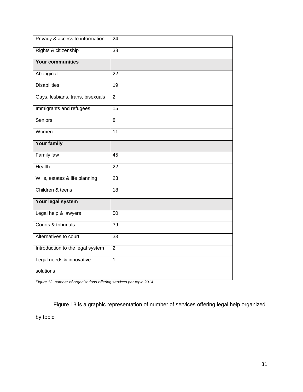| Privacy & access to information  | 24              |
|----------------------------------|-----------------|
| Rights & citizenship             | 38              |
| <b>Your communities</b>          |                 |
| Aboriginal                       | $\overline{22}$ |
| <b>Disabilities</b>              | 19              |
| Gays, lesbians, trans, bisexuals | $\overline{2}$  |
| Immigrants and refugees          | 15              |
| Seniors                          | 8               |
| Women                            | 11              |
| <b>Your family</b>               |                 |
| <b>Family law</b>                | 45              |
| <b>Health</b>                    | $\overline{22}$ |
| Wills, estates & life planning   | $\overline{23}$ |
| Children & teens                 | $\overline{18}$ |
| Your legal system                |                 |
| Legal help & lawyers             | 50              |
| Courts & tribunals               | 39              |
| Alternatives to court            | 33              |
| Introduction to the legal system | $\overline{2}$  |
| Legal needs & innovative         | $\overline{1}$  |
| solutions                        |                 |

*Figure 12: number of organizations offering services per topic 2014*

Figure 13 is a graphic representation of number of services offering legal help organized by topic.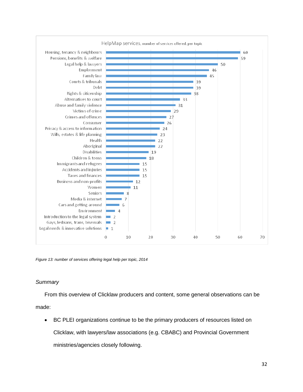

*Figure 13: number of services offering legal help per topic, 2014*

## *Summary*

From this overview of Clicklaw producers and content, some general observations can be made:

• BC PLEI organizations continue to be the primary producers of resources listed on Clicklaw, with lawyers/law associations (e.g. CBABC) and Provincial Government ministries/agencies closely following.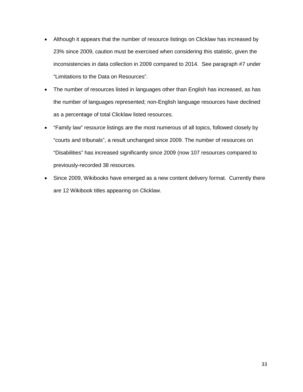- Although it appears that the number of resource listings on Clicklaw has increased by 23% since 2009, caution must be exercised when considering this statistic, given the inconsistencies in data collection in 2009 compared to 2014. See paragraph #7 under "Limitations to the Data on Resources".
- The number of resources listed in languages other than English has increased, as has the number of languages represented; non-English language resources have declined as a percentage of total Clicklaw listed resources.
- "Family law" resource listings are the most numerous of all topics, followed closely by "courts and tribunals", a result unchanged since 2009. The number of resources on "Disabilities" has increased significantly since 2009 (now 107 resources compared to previously-recorded 38 resources.
- Since 2009, Wikibooks have emerged as a new content delivery format. Currently there are 12 Wikibook titles appearing on Clicklaw.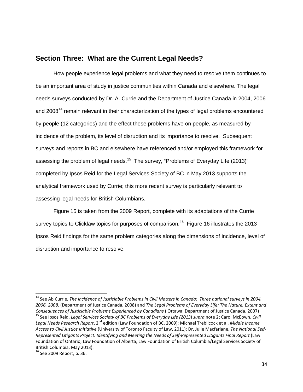## **Section Three: What are the Current Legal Needs?**

How people experience legal problems and what they need to resolve them continues to be an important area of study in justice communities within Canada and elsewhere. The legal needs surveys conducted by Dr. A. Currie and the Department of Justice Canada in 2004, 2006 and 2008<sup>[14](#page-33-0)</sup> remain relevant in their characterization of the types of legal problems encountered by people (12 categories) and the effect these problems have on people, as measured by incidence of the problem, its level of disruption and its importance to resolve. Subsequent surveys and reports in BC and elsewhere have referenced and/or employed this framework for assessing the problem of legal needs.<sup>15</sup> The survey, "Problems of Everyday Life (2013)" completed by Ipsos Reid for the Legal Services Society of BC in May 2013 supports the analytical framework used by Currie; this more recent survey is particularly relevant to assessing legal needs for British Columbians.

Figure 15 is taken from the 2009 Report, complete with its adaptations of the Currie survey topics to Clicklaw topics for purposes of comparison.<sup>[16](#page-33-2)</sup> Figure 16 illustrates the 2013 Ipsos Reid findings for the same problem categories along the dimensions of incidence, level of disruption and importance to resolve.

<span id="page-33-1"></span><span id="page-33-0"></span> <sup>14</sup> See Ab Currie, *The Incidence of Justiciable Problems in Civil Matters in Canada: Three national surveys in 2004, 2006, 2008.* (Department of Justice Canada, 2008) and *The Legal Problems of Everyday Life: The Nature, Extent and* <sup>15</sup> See Ipsos Reid, Legal Services Society of BC Problems of Everyday Life (2013) supra note 2; Carol McEown, Civil *Legal Needs Research Report*, 2nd edition (Law Foundation of BC, 2009); Michael Trebilcock et al, *Middle Income Access to Civil Justice Initiative* (University of Toronto Faculty of Law, 2011); Dr. Julie Macfarlane, *The National Self-Represented Litigants Project: Identifying and Meeting the Needs of Self-Represented Litigants Final Report* (Law Foundation of Ontario, Law Foundation of Alberta, Law Foundation of British Columbia/Legal Services Society of British Columbia, May 2013).

<span id="page-33-2"></span> $16$  See 2009 Report, p. 36.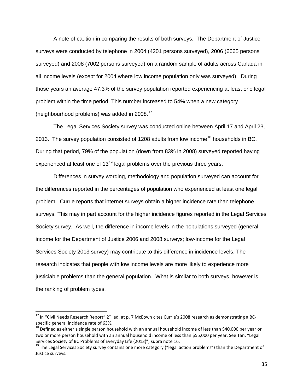A note of caution in comparing the results of both surveys. The Department of Justice surveys were conducted by telephone in 2004 (4201 persons surveyed), 2006 (6665 persons surveyed) and 2008 (7002 persons surveyed) on a random sample of adults across Canada in all income levels (except for 2004 where low income population only was surveyed). During those years an average 47.3% of the survey population reported experiencing at least one legal problem within the time period. This number increased to 54% when a new category (neighbourhood problems) was added in 2008.[17](#page-34-0)

The Legal Services Society survey was conducted online between April 17 and April 23, 2013. The survey population consisted of 1208 adults from low income<sup>[18](#page-34-1)</sup> households in BC. During that period, 79% of the population (down from 83% in 2008) surveyed reported having experienced at least one of  $13^{19}$  $13^{19}$  $13^{19}$  legal problems over the previous three years.

Differences in survey wording, methodology and population surveyed can account for the differences reported in the percentages of population who experienced at least one legal problem. Currie reports that internet surveys obtain a higher incidence rate than telephone surveys. This may in part account for the higher incidence figures reported in the Legal Services Society survey. As well, the difference in income levels in the populations surveyed (general income for the Department of Justice 2006 and 2008 surveys; low-income for the Legal Services Society 2013 survey) may contribute to this difference in incidence levels. The research indicates that people with low income levels are more likely to experience more justiciable problems than the general population. What is similar to both surveys, however is the ranking of problem types.

<span id="page-34-0"></span> $17$  In "Civil Needs Research Report"  $2^{nd}$  ed. at p. 7 McEown cites Currie's 2008 research as demonstrating a BCspecific general incidence rate of 63%.

<span id="page-34-1"></span>Defined as either a single person household with an annual household income of less than \$40,000 per year or two or more person household with an annual household income of less than \$55,000 per year. See Tan, "Legal Services Society of BC Problems of Everyday Life (2013)", supra note 16.

<span id="page-34-2"></span><sup>&</sup>lt;sup>19</sup> The Legal Services Society survey contains one more category ("legal action problems") than the Department of Justice surveys.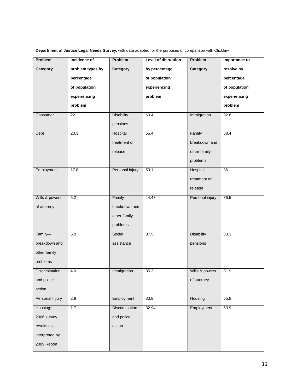| Department of Justice Legal Needs Survey, with data adapted for the purposes of comparison with Clicklaw |                  |                   |                            |                   |                      |
|----------------------------------------------------------------------------------------------------------|------------------|-------------------|----------------------------|-------------------|----------------------|
| Problem                                                                                                  | Incidence of     | Problem           | <b>Level of disruption</b> | Problem           | <b>Importance to</b> |
| Category                                                                                                 | problem types by | Category          | by percentage              | Category          | resolve by           |
|                                                                                                          | percentage       |                   | of population              |                   | percentage           |
|                                                                                                          | of population    |                   | experiencing               |                   | of population        |
|                                                                                                          | experiencing     |                   | problem                    |                   | experiencing         |
|                                                                                                          | problem          |                   |                            |                   | problem              |
| Consumer                                                                                                 | 22               | <b>Disability</b> | 60.4                       | Immigration       | 92.8                 |
|                                                                                                          |                  | pensions          |                            |                   |                      |
| Debt                                                                                                     | 20.3             | Hospital          | 55.4                       | Family            | 88.4                 |
|                                                                                                          |                  | treatment or      |                            | breakdown and     |                      |
|                                                                                                          |                  | release           |                            | other family      |                      |
|                                                                                                          |                  |                   |                            | problems          |                      |
| Employment                                                                                               | 17.8             | Personal injury   | 53.1                       | Hospital          | 86                   |
|                                                                                                          |                  |                   |                            | treatment or      |                      |
|                                                                                                          |                  |                   |                            | release           |                      |
| Wills & powers                                                                                           | 5.2              | Family-           | 44.48                      | Personal injury   | 86.5                 |
| of attorney                                                                                              |                  | breakdown and     |                            |                   |                      |
|                                                                                                          |                  | other family      |                            |                   |                      |
|                                                                                                          |                  | problems          |                            |                   |                      |
| Family-                                                                                                  | 5.0              | Social            | 37.5                       | <b>Disability</b> | 83.3                 |
| breakdown and                                                                                            |                  | assistance        |                            | pensions          |                      |
| other family                                                                                             |                  |                   |                            |                   |                      |
| problems                                                                                                 |                  |                   |                            |                   |                      |
| <b>Discrimination</b>                                                                                    | 4.0              | Immigration       | 35.3                       | Wills & powers    | 81.9                 |
| and police                                                                                               |                  |                   |                            | of attorney       |                      |
| action                                                                                                   |                  |                   |                            |                   |                      |
| Personal Injury                                                                                          | 2.9              | Employment        | 33.8                       | Housing           | 65.8                 |
| Housing*                                                                                                 | 1.7              | Discrimination    | 32.94                      | Employment        | 63.9                 |
| 2006 survey                                                                                              |                  | and police        |                            |                   |                      |
| results as                                                                                               |                  | action            |                            |                   |                      |
| interpreted by                                                                                           |                  |                   |                            |                   |                      |
| 2009 Report                                                                                              |                  |                   |                            |                   |                      |
|                                                                                                          |                  |                   |                            |                   |                      |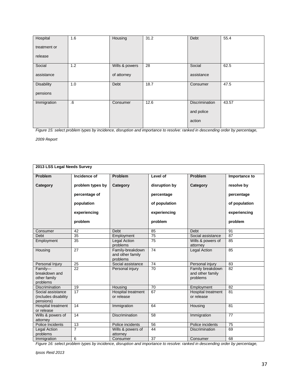| Hospital          | 1.6 | Housing        | 31.2 | Debt                  | 55.4  |
|-------------------|-----|----------------|------|-----------------------|-------|
| treatment or      |     |                |      |                       |       |
| release           |     |                |      |                       |       |
| Social            | 1.2 | Wills & powers | 28   | Social                | 62.5  |
| assistance        |     | of attorney    |      | assistance            |       |
| <b>Disability</b> | 1.0 | Debt           | 18.7 | Consumer              | 47.5  |
| pensions          |     |                |      |                       |       |
| Immigration       | .6  | Consumer       | 12.6 | <b>Discrimination</b> | 43.57 |
|                   |     |                |      | and police            |       |
|                   |     |                |      | action                |       |

*Figure 15: select problem types by incidence, disruption and importance to resolve: ranked in descending order by percentage,* 

*2009 Report*

| 2013 LSS Legal Needs Survey                            |                  |                                                  |                 |                                                  |                 |
|--------------------------------------------------------|------------------|--------------------------------------------------|-----------------|--------------------------------------------------|-----------------|
| Problem                                                | Incidence of     | Problem                                          | Level of        | <b>Problem</b>                                   | Importance to   |
| Category                                               | problem types by | Category                                         | disruption by   | Category                                         | resolve by      |
|                                                        | percentage of    |                                                  | percentage      |                                                  | percentage      |
|                                                        | population       |                                                  | of population   |                                                  | of population   |
|                                                        | experiencing     |                                                  | experiencing    |                                                  | experiencing    |
|                                                        | problem          |                                                  | problem         |                                                  | problem         |
| Consumer                                               | 42               | Debt                                             | 85              | Debt                                             | 91              |
| Debt                                                   | $\overline{35}$  | Employment                                       | 75              | Social assistance                                | 87              |
| Employment                                             | $\overline{35}$  | <b>Legal Action</b><br>problems                  | $\overline{75}$ | Wills & powers of<br>attorney                    | 85              |
| Housing                                                | 27               | Family-breakdown<br>and other family<br>problems | 74              | Legal Action                                     | 85              |
| Personal Injury                                        | 25               | Social assistance                                | 74              | Personal injury                                  | 83              |
| Family-<br>breakdown and<br>other family<br>problems   | 22               | Personal injury                                  | 70              | Family breakdown<br>and other family<br>problems | 82              |
| <b>Discrimination</b>                                  | 19               | Housing                                          | 70              | Employment                                       | 82              |
| Social assistance<br>(includes disability<br>pensions) | 17               | <b>Hospital treatment</b><br>or release          | 67              | <b>Hospital treatment</b><br>or release          | 81              |
| <b>Hospital treatment</b><br>or release                | 14               | Immigration                                      | 64              | Housing                                          | 81              |
| Wills & powers of<br>attorney                          | $\overline{14}$  | <b>Discrimination</b>                            | $\overline{58}$ | Immigration                                      | $\overline{77}$ |
| Police Incidents                                       | 13               | Police incidents                                 | 56              | Police incidents                                 | 75              |
| <b>Legal Action</b><br>problems                        | $\overline{7}$   | Wills & powers of<br>attorney                    | 44              | <b>Discrimination</b>                            | 69              |
| Immigration                                            | 6                | Consumer                                         | 37              | Consumer                                         | 68              |

*Figure 16: select problem types by incidence, disruption and importance to resolve: ranked in descending order by percentage,* 

*Ipsos Reid 2013*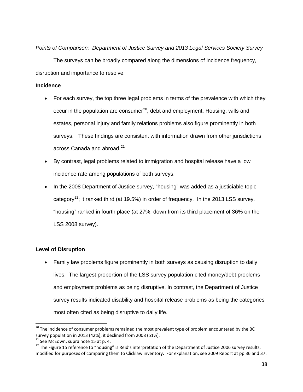*Points of Comparison: Department of Justice Survey and 2013 Legal Services Society Survey*

The surveys can be broadly compared along the dimensions of incidence frequency, disruption and importance to resolve.

#### **Incidence**

- For each survey, the top three legal problems in terms of the prevalence with which they occur in the population are consumer<sup>[20](#page-37-0)</sup>, debt and employment. Housing, wills and estates, personal injury and family relations problems also figure prominently in both surveys. These findings are consistent with information drawn from other jurisdictions across Canada and abroad.<sup>[21](#page-37-1)</sup>
- By contrast, legal problems related to immigration and hospital release have a low incidence rate among populations of both surveys.
- In the 2008 Department of Justice survey, "housing" was added as a justiciable topic category<sup>[22](#page-37-2)</sup>; it ranked third (at 19.5%) in order of frequency. In the 2013 LSS survey. "housing" ranked in fourth place (at 27%, down from its third placement of 36% on the LSS 2008 survey).

# **Level of Disruption**

• Family law problems figure prominently in both surveys as causing disruption to daily lives. The largest proportion of the LSS survey population cited money/debt problems and employment problems as being disruptive. In contrast, the Department of Justice survey results indicated disability and hospital release problems as being the categories most often cited as being disruptive to daily life.

<span id="page-37-0"></span><sup>&</sup>lt;sup>20</sup> The incidence of consumer problems remained the most prevalent type of problem encountered by the BC survey population in 2013 (42%); it declined from 2008 (51%).<br><sup>21</sup> See McEown, supra note 15 at p. 4.

<span id="page-37-1"></span>

<span id="page-37-2"></span><sup>&</sup>lt;sup>22</sup> The Figure 15 reference to "housing" is Reid's interpretation of the Department of Justice 2006 survey results, modified for purposes of comparing them to Clicklaw inventory. For explanation, see 2009 Report at pp 36 and 37.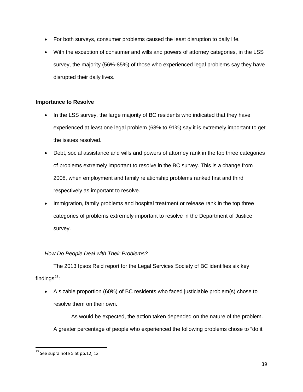- For both surveys, consumer problems caused the least disruption to daily life.
- With the exception of consumer and wills and powers of attorney categories, in the LSS survey, the majority (56%-85%) of those who experienced legal problems say they have disrupted their daily lives.

# **Importance to Resolve**

- In the LSS survey, the large majority of BC residents who indicated that they have experienced at least one legal problem (68% to 91%) say it is extremely important to get the issues resolved.
- Debt, social assistance and wills and powers of attorney rank in the top three categories of problems extremely important to resolve in the BC survey. This is a change from 2008, when employment and family relationship problems ranked first and third respectively as important to resolve.
- Immigration, family problems and hospital treatment or release rank in the top three categories of problems extremely important to resolve in the Department of Justice survey.

# *How Do People Deal with Their Problems?*

The 2013 Ipsos Reid report for the Legal Services Society of BC identifies six key findings $^{23}$  $^{23}$  $^{23}$ :

• A sizable proportion (60%) of BC residents who faced justiciable problem(s) chose to resolve them on their own.

As would be expected, the action taken depended on the nature of the problem. A greater percentage of people who experienced the following problems chose to "do it

<span id="page-38-0"></span> $23$  See supra note 5 at pp.12, 13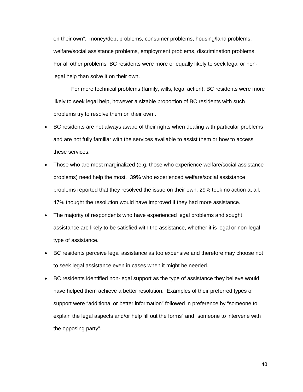on their own": money/debt problems, consumer problems, housing/land problems, welfare/social assistance problems, employment problems, discrimination problems. For all other problems, BC residents were more or equally likely to seek legal or nonlegal help than solve it on their own.

For more technical problems (family, wills, legal action), BC residents were more likely to seek legal help, however a sizable proportion of BC residents with such problems try to resolve them on their own .

- BC residents are not always aware of their rights when dealing with particular problems and are not fully familiar with the services available to assist them or how to access these services.
- Those who are most marginalized (e.g. those who experience welfare/social assistance problems) need help the most. 39% who experienced welfare/social assistance problems reported that they resolved the issue on their own. 29% took no action at all. 47% thought the resolution would have improved if they had more assistance.
- The majority of respondents who have experienced legal problems and sought assistance are likely to be satisfied with the assistance, whether it is legal or non-legal type of assistance.
- BC residents perceive legal assistance as too expensive and therefore may choose not to seek legal assistance even in cases when it might be needed.
- BC residents identified non-legal support as the type of assistance they believe would have helped them achieve a better resolution. Examples of their preferred types of support were "additional or better information" followed in preference by "someone to explain the legal aspects and/or help fill out the forms" and "someone to intervene with the opposing party".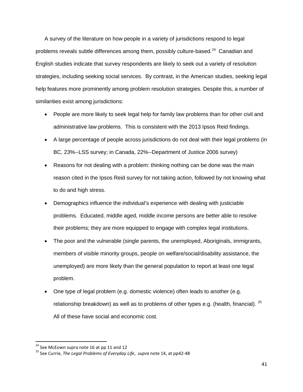A survey of the literature on how people in a variety of jurisdictions respond to legal problems reveals subtle differences among them, possibly culture-based. $^{24}$  $^{24}$  $^{24}$  Canadian and English studies indicate that survey respondents are likely to seek out a variety of resolution strategies, including seeking social services. By contrast, in the American studies, seeking legal help features more prominently among problem resolution strategies. Despite this, a number of similarities exist among jurisdictions:

- People are more likely to seek legal help for family law problems than for other civil and administrative law problems. This is consistent with the 2013 Ipsos Reid findings.
- A large percentage of people across jurisdictions do not deal with their legal problems (in BC, 23%--LSS survey; in Canada, 22%--Department of Justice 2006 survey)
- Reasons for not dealing with a problem: thinking nothing can be done was the main reason cited in the Ipsos Reid survey for not taking action, followed by not knowing what to do and high stress.
- Demographics influence the individual's experience with dealing with justiciable problems. Educated, middle aged, middle income persons are better able to resolve their problems; they are more equipped to engage with complex legal institutions.
- The poor and the vulnerable (single parents, the unemployed, Aboriginals, immigrants, members of visible minority groups, people on welfare/social/disability assistance, the unemployed) are more likely than the general population to report at least one legal problem.
- One type of legal problem (e.g. domestic violence) often leads to another (e.g. relationship breakdown) as well as to problems of other types e.g. (health, financial).  $^{25}$  $^{25}$  $^{25}$ All of these have social and economic cost.

<span id="page-40-1"></span><span id="page-40-0"></span><sup>&</sup>lt;sup>24</sup> See McEown supra note 16 at pp 11 and 12<br><sup>25</sup> See Currie, *The Legal Problems of Everyday Life*, *supra* note 14, at pp42-48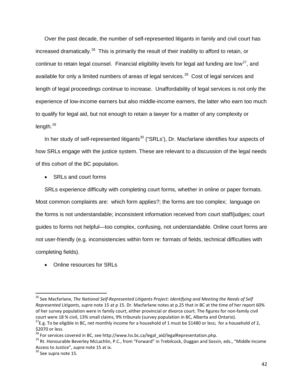Over the past decade, the number of self-represented litigants in family and civil court has increased dramatically.<sup>26</sup> This is primarily the result of their inability to afford to retain, or continue to retain legal counsel. Financial eligibility levels for legal aid funding are low<sup>[27](#page-41-1)</sup>, and available for only a limited numbers of areas of legal services.<sup>28</sup> Cost of legal services and length of legal proceedings continue to increase. Unaffordability of legal services is not only the experience of low-income earners but also middle-income earners, the latter who earn too much to qualify for legal aid, but not enough to retain a lawyer for a matter of any complexity or length.<sup>[29](#page-41-3)</sup>

In her study of self-represented litigants<sup>[30](#page-41-4)</sup> ("SRLs'), Dr. Macfarlane identifies four aspects of how SRLs engage with the justice system. These are relevant to a discussion of the legal needs of this cohort of the BC population.

• SRLs and court forms

SRLs experience difficulty with completing court forms, whether in online or paper formats. Most common complaints are: which form applies?; the forms are too complex; language on the forms is not understandable; inconsistent information received from court staff/judges; court guides to forms not helpful—too complex, confusing, not understandable. Online court forms are not user-friendly (e.g. inconsistencies within form re: formats of fields, technical difficulties with completing fields).

• Online resources for SRLs

<span id="page-41-0"></span> <sup>26</sup> See Macfarlane, *The National Self-Represented Litigants Project: Identifying and Meeting the Needs of Self Represented Litigants*, *supra* note 15 at p 15. Dr. Macfarlane notes at p.25 that in BC at the time of her report 60% of her survey population were in family court, either provincial or divorce court. The figures for non-family civil

<span id="page-41-1"></span>court were 18 % civil, 13% small claims, 9% tribunals (survey population in BC, Alberta and Ontario). <sup>27</sup>E.g. To be eligible in BC, net monthly income for a household of 1 must be \$1480 or less; for a household of 2, \$2070 or less.<br><sup>28</sup> For services covered in BC, see http://www.lss.bc.ca/legal\_aid/legalRepresentation.php.

<span id="page-41-2"></span>

<span id="page-41-3"></span><sup>&</sup>lt;sup>29</sup> Rt. Honourable Beverley McLachlin, P.C., from "Forward" in Trebilcock, Duggan and Sossin, eds., "Middle Income Access to Justice", *supra* note 15 at ix.<br><sup>30</sup> See supra note 15.

<span id="page-41-4"></span>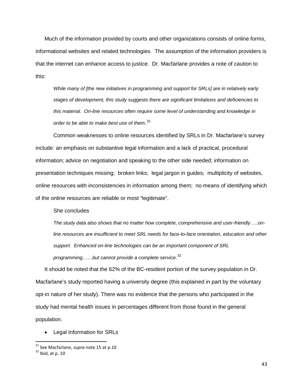Much of the information provided by courts and other organizations consists of online forms, informational websites and related technologies. The assumption of the information providers is that the internet can enhance access to justice. Dr. Macfarlane provides a note of caution to this:

*While many of [the new initiatives in programming and support for SRLs] are in relatively early stages of development, this study suggests there are significant limitations and deficiencies to this material. On-line resources often require some level of understanding and knowledge in order to be able to make best use of them*. [31](#page-42-0)

Common weaknesses to online resources identified by SRLs in Dr. Macfarlane's survey include: an emphasis on substantive legal information and a lack of practical, procedural information; advice on negotiation and speaking to the other side needed; information on presentation techniques missing; broken links; legal jargon in guides; multiplicity of websites, online resources with inconsistencies in information among them; no means of identifying which of the online resources are reliable or most "legitimate".

She concludes

*The study data also shows that no matter how complete, comprehensive and user-friendly…..online resources are insufficient to meet SRL needs for face-to-face orientation, education and other support. Enhanced on-line technologies can be an important component of SRL programming……but cannot provide a complete service.*[32](#page-42-1)

It should be noted that the 62% of the BC-resident portion of the survey population in Dr. Macfarlane's study reported having a university degree (this explained in part by the voluntary opt-in nature of her study). There was no evidence that the persons who participated in the study had mental health issues in percentages different from those found in the general population.

• Legal Information for SRLs

<span id="page-42-0"></span><sup>&</sup>lt;sup>31</sup> See Macfarlane, *supra* note 15 at p.10<br><sup>32</sup> Ibid. at p. 10

<span id="page-42-1"></span>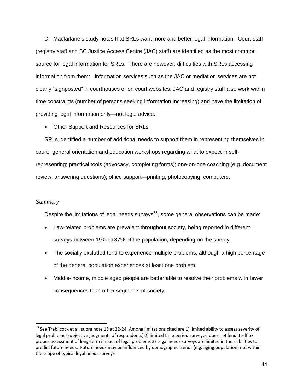Dr. Macfarlane's study notes that SRLs want more and better legal information. Court staff (registry staff and BC Justice Access Centre (JAC) staff) are identified as the most common source for legal information for SRLs. There are however, difficulties with SRLs accessing information from them: Information services such as the JAC or mediation services are not clearly "signposted" in courthouses or on court websites; JAC and registry staff also work within time constraints (number of persons seeking information increasing) and have the limitation of providing legal information only—not legal advice.

• Other Support and Resources for SRLs

SRLs identified a number of additional needs to support them in representing themselves in court: general orientation and education workshops regarding what to expect in selfrepresenting; practical tools (advocacy, completing forms); one-on-one coaching (e.g. document review, answering questions); office support—printing, photocopying, computers.

#### *Summary*

Despite the limitations of legal needs surveys<sup>[33](#page-43-0)</sup>, some general observations can be made:

- Law-related problems are prevalent throughout society, being reported in different surveys between 19% to 87% of the population, depending on the survey.
- The socially excluded tend to experience multiple problems, although a high percentage of the general population experiences at least one problem.
- Middle-income, middle aged people are better able to resolve their problems with fewer consequences than other segments of society.

<span id="page-43-0"></span> $33$  See Trebilcock et al, supra note 15 at 22-24. Among limitations cited are 1) limited ability to assess severity of legal problems (subjective judgments of respondents) 2) limited time period surveyed does not lend itself to proper assessment of long-term impact of legal problems 3) Legal needs surveys are limited in their abilities to predict future needs. Future needs may be influenced by demographic trends (e.g. aging population) not within the scope of typical legal needs surveys.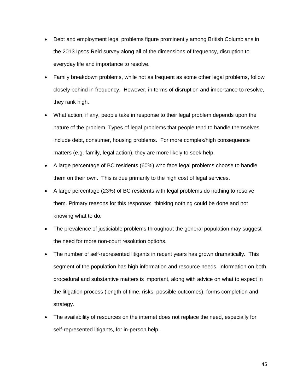- Debt and employment legal problems figure prominently among British Columbians in the 2013 Ipsos Reid survey along all of the dimensions of frequency, disruption to everyday life and importance to resolve.
- Family breakdown problems, while not as frequent as some other legal problems, follow closely behind in frequency. However, in terms of disruption and importance to resolve, they rank high.
- What action, if any, people take in response to their legal problem depends upon the nature of the problem. Types of legal problems that people tend to handle themselves include debt, consumer, housing problems. For more complex/high consequence matters (e.g. family, legal action), they are more likely to seek help.
- A large percentage of BC residents (60%) who face legal problems choose to handle them on their own. This is due primarily to the high cost of legal services.
- A large percentage (23%) of BC residents with legal problems do nothing to resolve them. Primary reasons for this response: thinking nothing could be done and not knowing what to do.
- The prevalence of justiciable problems throughout the general population may suggest the need for more non-court resolution options.
- The number of self-represented litigants in recent years has grown dramatically. This segment of the population has high information and resource needs. Information on both procedural and substantive matters is important, along with advice on what to expect in the litigation process (length of time, risks, possible outcomes), forms completion and strategy.
- The availability of resources on the internet does not replace the need, especially for self-represented litigants, for in-person help.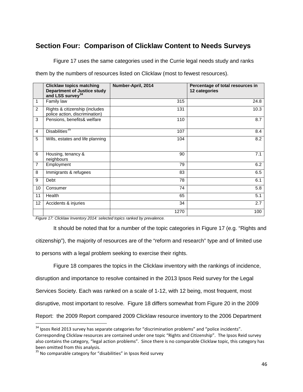# **Section Four: Comparison of Clicklaw Content to Needs Surveys**

Figure 17 uses the same categories used in the Currie legal needs study and ranks

them by the numbers of resources listed on Clicklaw (most to fewest resources).

|                | <b>Clicklaw topics matching</b><br><b>Department of Justice study</b><br>and LSS survey <sup>34</sup> | Number-April, 2014 | Percentage of total resources in<br>12 categories |
|----------------|-------------------------------------------------------------------------------------------------------|--------------------|---------------------------------------------------|
| 1              | Family law                                                                                            | 315                | 24.8                                              |
| $\overline{2}$ | Rights & citizenship (includes<br>police action, discrimination)                                      | 131                | 10.3                                              |
| 3              | Pensions, benefits& welfare                                                                           | 110                | 8.7                                               |
| $\overline{4}$ | Disabilities <sup>35</sup>                                                                            | 107                | 8.4                                               |
| 5              | Wills, estates and life planning                                                                      | 104                | 8.2                                               |
| 6              | Housing, tenancy &<br>neighbours                                                                      | 90                 | 7.1                                               |
| $\overline{7}$ | Employment                                                                                            | 79                 | 6.2                                               |
| 8              | Immigrants & refugees                                                                                 | 83                 | 6.5                                               |
| 9              | Debt                                                                                                  | 78                 | 6.1                                               |
| 10             | Consumer                                                                                              | 74                 | 5.8                                               |
| 11             | Health                                                                                                | 65                 | 5.1                                               |
| 12             | Accidents & injuries                                                                                  | 34                 | 2.7                                               |
|                |                                                                                                       | 1270               | 100                                               |

*Figure 17: Clicklaw Inventory 2014: selected topics ranked by prevalence.*

It should be noted that for a number of the topic categories in Figure 17 (e.g. "Rights and citizenship"), the majority of resources are of the "reform and research" type and of limited use to persons with a legal problem seeking to exercise their rights.

Figure 18 compares the topics in the Clicklaw inventory with the rankings of incidence, disruption and importance to resolve contained in the 2013 Ipsos Reid survey for the Legal Services Society. Each was ranked on a scale of 1-12, with 12 being, most frequent, most disruptive, most important to resolve. Figure 18 differs somewhat from Figure 20 in the 2009 Report: the 2009 Report compared 2009 Clicklaw resource inventory to the 2006 Department

<span id="page-45-0"></span> $34$  Ipsos Reid 2013 survey has separate categories for "discrimination problems" and "police incidents". Corresponding Clicklaw resources are contained under one topic "Rights and Citizenship". The Ipsos Reid survey also contains the category, "legal action problems". Since there is no comparable Clicklaw topic, this category has been omitted from this analysis.

<span id="page-45-1"></span> $35$  No comparable category for "disabilities" in Ipsos Reid survey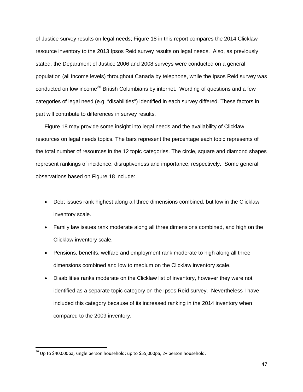of Justice survey results on legal needs; Figure 18 in this report compares the 2014 Clicklaw resource inventory to the 2013 Ipsos Reid survey results on legal needs. Also, as previously stated, the Department of Justice 2006 and 2008 surveys were conducted on a general population (all income levels) throughout Canada by telephone, while the Ipsos Reid survey was conducted on low income<sup>[36](#page-46-0)</sup> British Columbians by internet. Wording of questions and a few categories of legal need (e.g. "disabilities") identified in each survey differed. These factors in part will contribute to differences in survey results.

Figure 18 may provide some insight into legal needs and the availability of Clicklaw resources on legal needs topics. The bars represent the percentage each topic represents of the total number of resources in the 12 topic categories. The circle, square and diamond shapes represent rankings of incidence, disruptiveness and importance, respectively. Some general observations based on Figure 18 include:

- Debt issues rank highest along all three dimensions combined, but low in the Clicklaw inventory scale.
- Family law issues rank moderate along all three dimensions combined, and high on the Clicklaw inventory scale.
- Pensions, benefits, welfare and employment rank moderate to high along all three dimensions combined and low to medium on the Clicklaw inventory scale.
- Disabilities ranks moderate on the Clicklaw list of inventory, however they were not identified as a separate topic category on the Ipsos Reid survey. Nevertheless I have included this category because of its increased ranking in the 2014 inventory when compared to the 2009 inventory.

<span id="page-46-0"></span> $36$  Up to \$40,000pa, single person household; up to \$55,000pa, 2+ person household.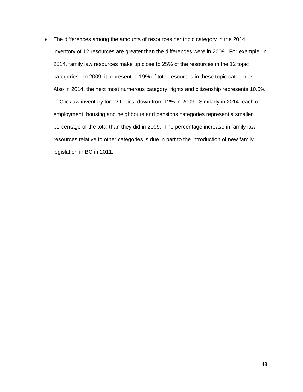• The differences among the amounts of resources per topic category in the 2014 inventory of 12 resources are greater than the differences were in 2009. For example, in 2014, family law resources make up close to 25% of the resources in the 12 topic categories. In 2009, it represented 19% of total resources in these topic categories. Also in 2014, the next most numerous category, rights and citizenship represents 10.5% of Clicklaw inventory for 12 topics, down from 12% in 2009. Similarly in 2014, each of employment, housing and neighbours and pensions categories represent a smaller percentage of the total than they did in 2009. The percentage increase in family law resources relative to other categories is due in part to the introduction of new family legislation in BC in 2011.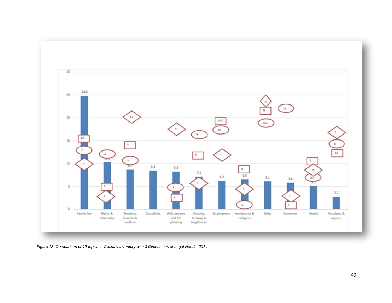

*Figure 18: Comparison of 12 topics in Clicklaw Inventory with 3 Dimensions of Legal Needs, 2014*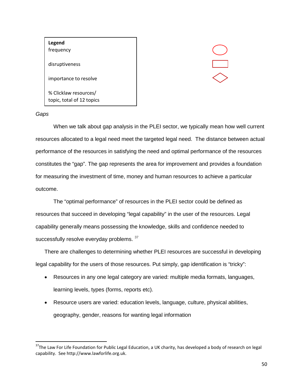# **Legend** frequency disruptiveness importance to resolve % Clicklaw resources/ topic, total of 12 topics

# $\equiv$

#### *Gaps*

When we talk about gap analysis in the PLEI sector, we typically mean how well current resources allocated to a legal need meet the targeted legal need. The distance between actual performance of the resources in satisfying the need and optimal performance of the resources constitutes the "gap". The gap represents the area for improvement and provides a foundation for measuring the investment of time, money and human resources to achieve a particular outcome.

The "optimal performance" of resources in the PLEI sector could be defined as resources that succeed in developing "legal capability" in the user of the resources. Legal capability generally means possessing the knowledge, skills and confidence needed to successfully resolve everyday problems. [37](#page-49-0)

There are challenges to determining whether PLEI resources are successful in developing legal capability for the users of those resources. Put simply, gap identification is "tricky":

- Resources in any one legal category are varied: multiple media formats, languages, learning levels, types (forms, reports etc).
- Resource users are varied: education levels, language, culture, physical abilities, geography, gender, reasons for wanting legal information

<span id="page-49-0"></span><sup>&</sup>lt;sup>37</sup>The Law For Life Foundation for Public Legal Education, a UK charity, has developed a body of research on legal capability. See http://www.lawforlife.org.uk.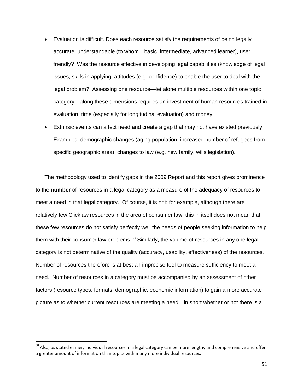- Evaluation is difficult. Does each resource satisfy the requirements of being legally accurate, understandable (to whom—basic, intermediate, advanced learner), user friendly? Was the resource effective in developing legal capabilities (knowledge of legal issues, skills in applying, attitudes (e.g. confidence) to enable the user to deal with the legal problem? Assessing one resource—let alone multiple resources within one topic category—along these dimensions requires an investment of human resources trained in evaluation, time (especially for longitudinal evaluation) and money.
- Extrinsic events can affect need and create a gap that may not have existed previously. Examples: demographic changes (aging population, increased number of refugees from specific geographic area), changes to law (e.g. new family, wills legislation).

The methodology used to identify gaps in the 2009 Report and this report gives prominence to the **number** of resources in a legal category as a measure of the adequacy of resources to meet a need in that legal category. Of course, it is not: for example, although there are relatively few Clicklaw resources in the area of consumer law, this in itself does not mean that these few resources do not satisfy perfectly well the needs of people seeking information to help them with their consumer law problems. $38$  Similarly, the volume of resources in any one legal category is not determinative of the quality (accuracy, usability, effectiveness) of the resources. Number of resources therefore is at best an imprecise tool to measure sufficiency to meet a need. Number of resources in a category must be accompanied by an assessment of other factors (resource types, formats; demographic, economic information) to gain a more accurate picture as to whether current resources are meeting a need—in short whether or not there is a

<span id="page-50-0"></span><sup>&</sup>lt;sup>38</sup> Also, as stated earlier, individual resources in a legal category can be more lengthy and comprehensive and offer a greater amount of information than topics with many more individual resources.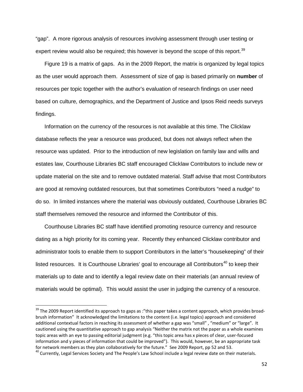"gap". A more rigorous analysis of resources involving assessment through user testing or expert review would also be required; this however is beyond the scope of this report.<sup>[39](#page-51-0)</sup>

Figure 19 is a matrix of gaps. As in the 2009 Report, the matrix is organized by legal topics as the user would approach them. Assessment of size of gap is based primarily on **number** of resources per topic together with the author's evaluation of research findings on user need based on culture, demographics, and the Department of Justice and Ipsos Reid needs surveys findings.

Information on the currency of the resources is not available at this time. The Clicklaw database reflects the year a resource was produced, but does not always reflect when the resource was updated. Prior to the introduction of new legislation on family law and wills and estates law, Courthouse Libraries BC staff encouraged Clicklaw Contributors to include new or update material on the site and to remove outdated material. Staff advise that most Contributors are good at removing outdated resources, but that sometimes Contributors "need a nudge" to do so. In limited instances where the material was obviously outdated, Courthouse Libraries BC staff themselves removed the resource and informed the Contributor of this.

Courthouse Libraries BC staff have identified promoting resource currency and resource dating as a high priority for its coming year. Recently they enhanced Clicklaw contributor and administrator tools to enable them to support Contributors in the latter's "housekeeping" of their listed resources. It is Courthouse Libraries' goal to encourage all Contributors<sup>[40](#page-51-1)</sup> to keep their materials up to date and to identify a legal review date on their materials (an annual review of materials would be optimal). This would assist the user in judging the currency of a resource.

<span id="page-51-0"></span><sup>&</sup>lt;sup>39</sup> The 2009 Report identified its approach to gaps as :"this paper takes a content approach, which provides broadbrush information" It acknowledged the limitations to the content (i.e. legal topics) approach and considered additional contextual factors in reaching its assessment of whether a gap was "small" , "medium" or "large". It cautioned using the quantitative approach to gap analysis "Neither the matrix not the paper as a whole examines topic areas with an eye to passing editorial judgment (e.g. "this topic area has x pieces of clear, user-focused information and y pieces of information that could be improved"). This would, however, be an appropriate task<br>for network members as they plan collaboratively for the future." See 2009 Report, pp 52 and 53.

<span id="page-51-1"></span><sup>&</sup>lt;sup>40</sup> Currently, Legal Services Society and The People's Law School include a legal review date on their materials.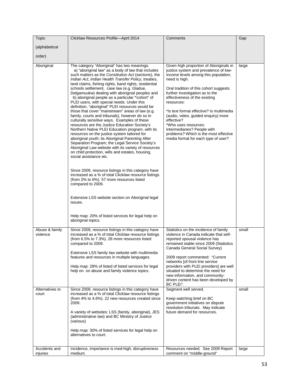| Topic                                                  | Clicklaw Resources Profile-April 2014                                                                                                                                                                                                                                                                                                                                                                                                                                                                                                                                                                                                                                                                                                                                                                                                                                                                                                                                                                                                                                                                                                                                                                                                                                                                                                                                                                                   | Comments                                                                                                                                                                                                                                                                                                                                                                                                                                                                                                      | Gap            |
|--------------------------------------------------------|-------------------------------------------------------------------------------------------------------------------------------------------------------------------------------------------------------------------------------------------------------------------------------------------------------------------------------------------------------------------------------------------------------------------------------------------------------------------------------------------------------------------------------------------------------------------------------------------------------------------------------------------------------------------------------------------------------------------------------------------------------------------------------------------------------------------------------------------------------------------------------------------------------------------------------------------------------------------------------------------------------------------------------------------------------------------------------------------------------------------------------------------------------------------------------------------------------------------------------------------------------------------------------------------------------------------------------------------------------------------------------------------------------------------------|---------------------------------------------------------------------------------------------------------------------------------------------------------------------------------------------------------------------------------------------------------------------------------------------------------------------------------------------------------------------------------------------------------------------------------------------------------------------------------------------------------------|----------------|
| (alphabetical                                          |                                                                                                                                                                                                                                                                                                                                                                                                                                                                                                                                                                                                                                                                                                                                                                                                                                                                                                                                                                                                                                                                                                                                                                                                                                                                                                                                                                                                                         |                                                                                                                                                                                                                                                                                                                                                                                                                                                                                                               |                |
|                                                        |                                                                                                                                                                                                                                                                                                                                                                                                                                                                                                                                                                                                                                                                                                                                                                                                                                                                                                                                                                                                                                                                                                                                                                                                                                                                                                                                                                                                                         |                                                                                                                                                                                                                                                                                                                                                                                                                                                                                                               |                |
| order)                                                 |                                                                                                                                                                                                                                                                                                                                                                                                                                                                                                                                                                                                                                                                                                                                                                                                                                                                                                                                                                                                                                                                                                                                                                                                                                                                                                                                                                                                                         |                                                                                                                                                                                                                                                                                                                                                                                                                                                                                                               |                |
| Aboriginal                                             | The category "Aboriginal" has two meanings:<br>a) "aboriginal law" as a body of law that includes<br>such matters as the Constitution Act (sections), the<br>Indian Act, Indian Health Transfer Policy, treaties,<br>land claims, fishing rights, band rights, residential<br>schools settlement, case law (e.g. Gladue,<br>Delgamuukw) dealing with aboriginal peoples and<br>b) aboriginal people as a particular "cohort" of<br>PLEI users, with special needs. Under this<br>definition, "aboriginal" PLEI resources would be<br>those that cover "mainstream" areas of law (e.g.<br>family, courts and tribunals), however do so in<br>culturally sensitive ways. Examples of these<br>resources are the Justice Education Society's<br>Northern Native PLEI Education program, with its<br>resources on the justice system tailored for<br>aboriginal youth; its Aboriginal Parenting After<br>Separation Program; the Legal Service Society's<br>Aboriginal Law website with its variety of resources<br>on child protection, wills and estates, housing,<br>social assistance etc.<br>Since 2009, resource listings in this category have<br>increased as a % of total Clicklaw resource listings<br>(from 2% to 6%). 57 more resources listed<br>compared to 2009.<br>Extensive LSS website section on Aboriginal legal<br>issues.<br>Help map: 20% of listed services for legal help on<br>aboriginal topics. | Given high proportion of Aboriginals in<br>justice system and prevalence of low-<br>income levels among this population,<br>need is high.<br>Oral tradition of this cohort suggests<br>further investigation as to the<br>effectiveness of the existing<br>resources:<br>*Is text format effective? Is multimedia<br>(audio, video, guided enquiry) more<br>effective?<br>*Who uses resources:<br>intermediaries? People with<br>problems? Which is the most effective<br>media format for each type of user? | large          |
| Abuse & family<br>violence<br>Alternatives to<br>court | Since 2009, resource listings in this category have<br>increased as a % of total Clicklaw resource listings<br>(from 6.5% to 7.3%). 28 more resources listed<br>compared to 2009.<br>Extensive LSS family law website with multimedia<br>features and resources in multiple languages.<br>Help map: 28% of listed of listed services for legal<br>help on on abuse and family violence topics.<br>Since 2009, resource listings in this category have<br>increased as a % of total Clicklaw resource listings                                                                                                                                                                                                                                                                                                                                                                                                                                                                                                                                                                                                                                                                                                                                                                                                                                                                                                           | Statistics on the incidence of family<br>violence in Canada indicate that self-<br>reported spousal violence has<br>remained stable since 2009 (Statistics<br>Canada General Social Survey)<br>2009 report commented: "Current<br>networks [of front line service<br>providers with PLEI providers] are well<br>situated to determine the need for<br>new information, and community-<br>driven content has been developed by<br>BC PLEI".<br>Segment well served.                                            | small<br>small |
| Accidents and                                          | (from 4% to 4.6%). 22 new resources created since<br>2009.<br>A variety of websites: LSS (family, aboriginal), JES<br>(administrative law) and BC Ministry of Justice<br>(various)<br>Help map: 30% of listed services for legal help on<br>alternatives to court.<br>Incidence, importance is med-high; disruptiveness                                                                                                                                                                                                                                                                                                                                                                                                                                                                                                                                                                                                                                                                                                                                                                                                                                                                                                                                                                                                                                                                                                 | Keep watching brief on BC<br>government initiatives on dispute<br>resolution tribunals. May indicate<br>future demand for resources.<br>Resources needed. See 2009 Report                                                                                                                                                                                                                                                                                                                                     | large          |
| injuries                                               | medium.                                                                                                                                                                                                                                                                                                                                                                                                                                                                                                                                                                                                                                                                                                                                                                                                                                                                                                                                                                                                                                                                                                                                                                                                                                                                                                                                                                                                                 | comment on "middle-ground"                                                                                                                                                                                                                                                                                                                                                                                                                                                                                    |                |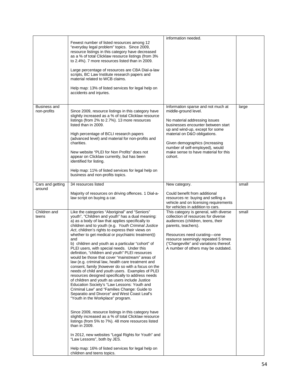|                             | Fewest number of listed resources among 12<br>"everyday legal problem" topics. Since 2009,<br>resource listings in this category have decreased<br>as a % of total Clicklaw resource listings (from 3%<br>to 2.4%). 7 more resources listed than in 2009.<br>Large percentage of resources are CBA Dial-a-law<br>scripts, BC Law Institute research papers and<br>material related to WCB claims.<br>Help map: 13% of listed services for legal help on<br>accidents and injuries.                                                                                                                                                                                                                                                                                                                                                                                                                                                                                                                                                                                                                                                                                                                                                                                                                                                                             | information needed.                                                                                                                                                                                                                                                                                                          |       |
|-----------------------------|----------------------------------------------------------------------------------------------------------------------------------------------------------------------------------------------------------------------------------------------------------------------------------------------------------------------------------------------------------------------------------------------------------------------------------------------------------------------------------------------------------------------------------------------------------------------------------------------------------------------------------------------------------------------------------------------------------------------------------------------------------------------------------------------------------------------------------------------------------------------------------------------------------------------------------------------------------------------------------------------------------------------------------------------------------------------------------------------------------------------------------------------------------------------------------------------------------------------------------------------------------------------------------------------------------------------------------------------------------------|------------------------------------------------------------------------------------------------------------------------------------------------------------------------------------------------------------------------------------------------------------------------------------------------------------------------------|-------|
| Business and<br>non-profits | Since 2009, resource listings in this category have<br>slightly increased as a % of total Clicklaw resource<br>listings (from 2% to 2.7%). 13 more resources<br>listed than in 2009.<br>High percentage of BCLI research papers<br>(advanced level) and material for non-profits and<br>charities.<br>New website "PLEI for Non Profits" does not<br>appear on Clicklaw currently, but has been<br>identified for listing.<br>Help map: 11% of listed services for legal help on<br>business and non-profits topics.                                                                                                                                                                                                                                                                                                                                                                                                                                                                                                                                                                                                                                                                                                                                                                                                                                           | Information sparse and not much at<br>middle-ground level.<br>No material addressing issues<br>businesses encounter between start<br>up and wind-up, except for some<br>material on D&O obligations.<br>Given demographics (increasing<br>number of self-employed), would<br>make sense to have material for this<br>cohort. | large |
| Cars and getting<br>around  | 34 resources listed<br>Majority of resources on driving offences. 1 Dial-a-<br>law script on buying a car.                                                                                                                                                                                                                                                                                                                                                                                                                                                                                                                                                                                                                                                                                                                                                                                                                                                                                                                                                                                                                                                                                                                                                                                                                                                     | New category.<br>Could benefit from additional<br>resources re: buying and selling a<br>vehicle and on licensing requirements<br>for vehicles in addition to cars.                                                                                                                                                           | small |
| Children and<br>teens       | Like the categories "Aboriginal" and "Seniors"<br>youth", "Children and youth" has a dual meaning:<br>a) as a body of law that applies specifically to<br>children and to youth (e.g. Youth Criminal Justice<br>Act, children's rights to express their views on<br>whether to get medical or psychiatric treatment))<br>and<br>b) children and youth as a particular "cohort" of<br>PLEI users, with special needs. Under this<br>definition, "children and youth" PLEI resources<br>would be those that cover "mainstream" areas of<br>law (e.g. criminal law, health care treatment and<br>consent, family ) however do so with a focus on the<br>needs of child and youth users. Examples of PLEI<br>resources designed specifically to address needs<br>of children and youth as users include Justice<br>Education Society's "Law Lessons: Youth and<br>Criminal Law" and "Families Change: Guide to<br>Separatio and Divorce" and West Coast Leaf's<br>"Youth in the Workplace" program.<br>Since 2009, resource listings in this category have<br>slightly increased as a % of total Clicklaw resource<br>listings (from 5% to 7%). 48 more resources listed<br>than in 2009.<br>In 2012, new websites "Legal Rights for Youth" and<br>"Law Lessons", both by JES.<br>Help map: 16% of listed services for legal help on<br>children and teens topics. | This category is general, with diverse<br>collection of resources for diverse<br>audiences (children, teens, their<br>parents, teachers).<br>Resources need curating-one<br>resource seemingly repeated 5 times<br>("Changeville" and variations thereof.<br>A number of others may be outdated.                             | small |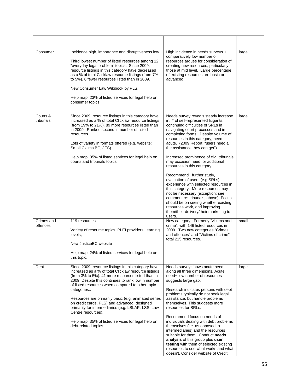| Consumer               | Incidence high, importance and disruptiveness low.<br>Third lowest number of listed resources among 12<br>"everyday legal problem" topics. Since 2009,<br>resource listings in this category have decreased<br>as a % of total Clicklaw resource listings (from 7%<br>to 5%). 6 fewer resources listed than in 2009.<br>New Consumer Law Wikibook by PLS.<br>Help map: 23% of listed services for legal help on<br>consumer topics.                                                                                                                       | High incidence in needs surveys +<br>comparatively low number of<br>resources argues for consideration of<br>creating new resources, particularly<br>those at mid level. Large percentage<br>of existing resources are basic or<br>advanced.                                                                                                                                                                                                                                                                                                                                                                                                                                                                                                                                     | large |
|------------------------|-----------------------------------------------------------------------------------------------------------------------------------------------------------------------------------------------------------------------------------------------------------------------------------------------------------------------------------------------------------------------------------------------------------------------------------------------------------------------------------------------------------------------------------------------------------|----------------------------------------------------------------------------------------------------------------------------------------------------------------------------------------------------------------------------------------------------------------------------------------------------------------------------------------------------------------------------------------------------------------------------------------------------------------------------------------------------------------------------------------------------------------------------------------------------------------------------------------------------------------------------------------------------------------------------------------------------------------------------------|-------|
| Courts &<br>tribunals  | Since 2009, resource listings in this category have<br>increased as a % of total Clicklaw resource listings<br>(from 19% to 21%). 89 more resources listed than<br>in 2009. Ranked second in number of listed<br>resources.<br>Lots of variety in formats offered (e.g. website:<br>Small Claims BC, JES).<br>Help map: 35% of listed services for legal help on<br>courts and tribunals topics.                                                                                                                                                          | Needs survey reveals steady increase<br>in: # of self-represented litigants;<br>continuing difficulties of SRLs in<br>navigating court processes and in<br>completing forms. Despite volume of<br>resources in this category, need<br>acute. (2009 Report: "users need all<br>the assistance they can get").<br>Increased prominence of civil tribunals<br>may occasion need for additional<br>resources in this category.<br>Recommend: further study,<br>evaluation of users (e.g.SRLs)<br>experience with selected resources in<br>this category. More resources may<br>not be necessary (exception: see<br>comment re: tribunals, above). Focus<br>should be on seeing whether existing<br>resources work, and improving<br>them/their delivery/their marketing to<br>users. | large |
| Crimes and<br>offences | 119 resources<br>Variety of resource topics, PLEI providers, learning<br>levels,<br>New JusticeBC website<br>Help map: 24% of listed services for legal help on<br>this topic.                                                                                                                                                                                                                                                                                                                                                                            | New category. Formerly "victims and<br>crime", with 146 listed resources in<br>2009. Two new categories "Crimes<br>and offences" and "Victims of crime"<br>total 215 resources.                                                                                                                                                                                                                                                                                                                                                                                                                                                                                                                                                                                                  | small |
| Debt                   | Since 2009, resource listings in this category have<br>increased as a % of total Clicklaw resource listings<br>(from 3% to 5%). 41 more resources listed than in<br>2009. Despite this continues to rank low in number<br>of listed resources when compared to other topic<br>categories<br>Resources are primarily basic (e.g. animated series<br>on credit cards, PLS) and advanced, designed<br>primarily for intermediaries (e.g. LSLAP, LSS, Law<br>Centre resources).<br>Help map: 35% of listed services for legal help on<br>debt-related topics. | Needs survey shows acute need<br>along all three dimensions. Acute<br>need+ low number of resources<br>suggests large gap.<br>Research indicates persons with debt<br>problems typically do not seek legal<br>assistance, but handle problems<br>themselves. This suggests more<br>resources for SRLs.<br>Recommend focus on needs of<br>individuals dealing with debt problems<br>themselves (i.e. as opposed to<br>intermediaries) and the resources<br>suitable for them. Conduct needs<br>analysis of this group plus user<br>testing with them of selected existing<br>resources to see what works and what<br>doesn't. Consider website of Credit                                                                                                                          | large |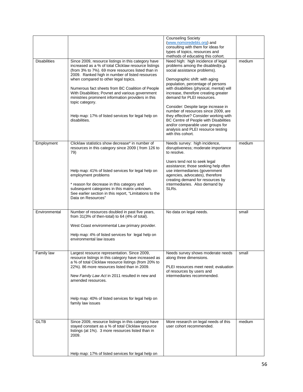|                     |                                                                                                                                                                                                                                                                                                                                                                                                                                                                                                                     | <b>Counseling Society</b><br>(www.nomoredebts.org) and<br>consulting with them for ideas for<br>types of topics, resources and<br>methods of educating this cohort.                                                                                                                                                                                                                                                                                                                                                                                             |        |
|---------------------|---------------------------------------------------------------------------------------------------------------------------------------------------------------------------------------------------------------------------------------------------------------------------------------------------------------------------------------------------------------------------------------------------------------------------------------------------------------------------------------------------------------------|-----------------------------------------------------------------------------------------------------------------------------------------------------------------------------------------------------------------------------------------------------------------------------------------------------------------------------------------------------------------------------------------------------------------------------------------------------------------------------------------------------------------------------------------------------------------|--------|
| <b>Disabilities</b> | Since 2009, resource listings in this category have<br>increased as a % of total Clicklaw resource listings<br>(from 3% to 7%). 69 more resources listed than in<br>2009. Ranked high in number of listed resources<br>when compared to other legal topics.<br>Numerous fact sheets from BC Coalition of People<br>With Disabilities; Povnet and various government<br>ministries prominent information providers in this<br>topic category.<br>Help map: 17% of listed services for legal help on<br>disabilities. | Need high: high incidence of legal<br>problems among the disabled(e.g.<br>social assistance problems).<br>Demographic shift: with aging<br>population, percentage of persons<br>with disabilities (physical, mental) will<br>increase, therefore creating greater<br>demand for PLEI resources.<br>Consider: Despite large increase in<br>number of resources since 2009, are<br>they effective? Consider working with<br>BC Centre of People with Disabilities<br>and/or comparable user groups for<br>analysis and PLEI resource testing<br>with this cohort. | medium |
| Employment          | Clicklaw statistics show decrease* in number of<br>resources in this category since 2009 (from 126 to<br>79)<br>Help map: 41% of listed services for legal help on<br>employment problems<br>* reason for decrease in this category and<br>subsequent categories in this matrix unknown.<br>See earlier section in this report, "Limitations to the<br>Data on Resources"                                                                                                                                           | Needs survey: high incidence,<br>disruptiveness; moderate importance<br>to resolve.<br>Users tend not to seek legal<br>assistance; those seeking help often<br>use intermediaries (government<br>agencies, advocates), therefore<br>creating demand for resources by<br>intermediaries. Also demand by<br>SLRs.                                                                                                                                                                                                                                                 | medium |
| Environmental       | Number of resources doubled in past five years,<br>from 31(3% of then-total) to 64 (4% of total).<br>West Coast environmental Law primary provider.<br>Help map: 4% of listed services for legal help on<br>environmental law issues                                                                                                                                                                                                                                                                                | No data on legal needs.                                                                                                                                                                                                                                                                                                                                                                                                                                                                                                                                         | small  |
| Family law          | Largest resource representation. Since 2009,<br>resource listings in this category have increased as<br>a % of total Clicklaw resource listings (from 20% to<br>22%). 86 more resources listed than in 2009.<br>New Family Law Act in 2011 resulted in new and<br>amended resources.<br>Help map: 40% of listed services for legal help on<br>family law issues                                                                                                                                                     | Needs survey shows moderate needs<br>along three dimensions.<br>PLEI resources meet need; evaluation<br>of resources by users and<br>intermediaries recommended.                                                                                                                                                                                                                                                                                                                                                                                                | small  |
| <b>GLTB</b>         | Since 2009, resource listings in this category have<br>stayed constant as a % of total Clicklaw resource<br>listings (at 1%). 3 more resources listed than in<br>2009.<br>Help map: 17% of listed services for legal help on                                                                                                                                                                                                                                                                                        | More research on legal needs of this<br>user cohort recommended.                                                                                                                                                                                                                                                                                                                                                                                                                                                                                                | medium |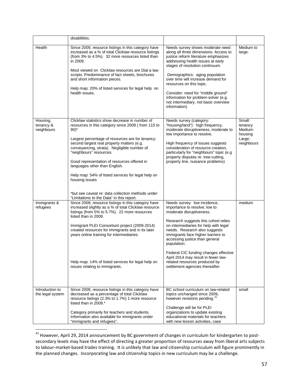|                                     | disabilities.                                                                                                                                                                                                                                                                                                                                                                                                                                                                                                                                        |                                                                                                                                                                                                                                                                                                                                                                                                                                                        |                                                                 |
|-------------------------------------|------------------------------------------------------------------------------------------------------------------------------------------------------------------------------------------------------------------------------------------------------------------------------------------------------------------------------------------------------------------------------------------------------------------------------------------------------------------------------------------------------------------------------------------------------|--------------------------------------------------------------------------------------------------------------------------------------------------------------------------------------------------------------------------------------------------------------------------------------------------------------------------------------------------------------------------------------------------------------------------------------------------------|-----------------------------------------------------------------|
| Health                              | Since 2009, resource listings in this category have<br>increased as a % of total Clicklaw resource listings<br>(from 3% to 4.5%). 32 more resources listed than<br>in 2009.<br>Most viewed on Clicklaw resources are Dial a law<br>scripts. Predominance of fact sheets, brochures<br>and short information pieces.<br>Help map: 20% of listed services for legal help on<br>health issues.                                                                                                                                                          | Needs survey shows moderate need<br>along all three dimensions. Access to<br>justice reform literature emphasizes<br>addressing health issues at early<br>stages of resolution continuum.<br>Demographics: aging population<br>over time will increase demand for<br>resources on this topic.<br>Consider: need for "middle ground"<br>information for problem-solver (e.g.<br>not intermediary, not basic overview<br>information)                    | Medium to<br>large.                                             |
| Housing,<br>tenancy &<br>neighbours | Clicklaw statistics show decrease in number of<br>resources in this category since 2009 (from 115 to<br>$90)*$<br>Largest percentage of resources are for tenancy;<br>second largest real property matters (e.g.<br>conveyancing, strata). Negligible number of<br>"neighbours" resources.<br>Good representation of resources offered in<br>languages other than English.<br>Help map: 54% of listed services for legal help on<br>housing issues<br>*but see caveat re: data collection methods under<br>"Limitations to the Data" in this report. | Needs survey (category:<br>"housing/land"): high frequency,<br>moderate disruptiveness, moderate to<br>low importance to resolve.<br>High frequency of issues suggests<br>consideration of resource creation,<br>particularly for "neighbours" topic (e.g<br>property disputes re: tree-cutting,<br>property line, nuisance problems)                                                                                                                  | Small:<br>tenancy<br>Medium:<br>housing<br>Large:<br>neighbours |
| Immigrants &<br>refugees            | Since 2009, resource listings in this category have<br>increased slightly as a % of total Clicklaw resource<br>listings (from 5% to 5.7%). 22 more resources<br>listed than in 2009.<br>Immigrant PLEI Consortium project (2009-2014)<br>created resources for immigrants and in its later<br>years online training for intermediaries.<br>Help map: 14% of listed services for legal help on<br>issues relating to immigrants.                                                                                                                      | Needs survey: low incidence,<br>importance to resolve; low to<br>moderate disruptiveness.<br>Research suggests this cohort relies<br>on intermediaries for help with legal<br>needs. Research also suggests<br>immigrants face higher barriers to<br>accessing justice than general<br>population.<br>Federal CIC funding changes effective<br>April 2014 may result in fewer law-<br>related resources produced by<br>settlement agencies thereafter. | medium                                                          |
| Introduction to<br>the legal system | Since 2009, resource listings in this category have<br>decreased as a percentage of total Clicklaw<br>resource listings (2.3% to 1.7%) 1 more resource<br>listed than in 2009.*<br>Category primarily for teachers and students.<br>Information also available for immigrants under<br>"immigrants and refugees".                                                                                                                                                                                                                                    | BC school curriculum on law-related<br>topics unchanged since 2009,<br>however revisions pending. <sup>41</sup><br>Challenge will be for PLEI<br>organizations to update existing<br>educational materials for teachers<br>with new lesson activities, case                                                                                                                                                                                            | small                                                           |

<span id="page-56-0"></span><sup>&</sup>lt;sup>41</sup> However, April 29, 2014 announcement by BC government of changes in curriculum for kindergarten to postsecondary levels may have the effect of directing a greater proportion of resources away from liberal arts subjects to labour-market-based trades training. It is unlikely that law and citizenship curriculum will figure prominently in the planned changes. Incorporating law and citizenship topics in new curriculum may be a challenge.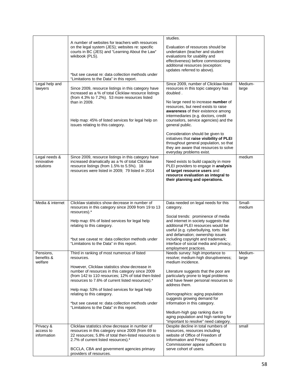|                                          |                                                                                                                                                                                                              | studies.                                                                                                                                                                                          |                  |
|------------------------------------------|--------------------------------------------------------------------------------------------------------------------------------------------------------------------------------------------------------------|---------------------------------------------------------------------------------------------------------------------------------------------------------------------------------------------------|------------------|
|                                          | A number of websites for teachers with resources<br>on the legal system (JES); websites re: specific<br>courts in BC (JES) and "Learning About the Law"<br>wikibook (PLS).                                   | Evaluation of resources should be<br>undertaken (teacher and student<br>evaluations for usability and<br>effectiveness) before commissioning<br>additional resources (exception:                  |                  |
|                                          | *but see caveat re: data collection methods under<br>"Limitations to the Data" in this report.                                                                                                               | updates referred to above).                                                                                                                                                                       |                  |
| Legal help and<br>lawyers                | Since 2009, resource listings in this category have<br>increased as a % of total Clicklaw resource listings<br>(from 4.3% to 7.2%). 53 more resources listed<br>than in 2009.                                | Since 2009, number of Clicklaw-listed<br>resources in this topic category has<br>doubled.<br>No large need to increase number of                                                                  | Medium-<br>large |
|                                          | Help map: 45% of listed services for legal help on<br>issues relating to this category.                                                                                                                      | resources, but need exists to raise<br><b>awareness</b> of their existence among<br>intermediaries (e.g. doctors, credit<br>counselors, service agencies) and the<br>general public.              |                  |
|                                          |                                                                                                                                                                                                              | Consideration should be given to<br>initiatives that raise visibility of PLEI<br>throughout general population, so that<br>they are aware that resources to solve<br>everyday problems exist.     |                  |
| Legal needs &<br>innovative<br>solutions | Since 2009, resource listings in this category have<br>increased dramatically as a % of total Clicklaw<br>resource listings (from 1.5% to 5.5%). 18<br>resources were listed in 2009; 79 listed in 2014      | Need exists to build capacity in more<br>PLEI providers to engage in analysis<br>of target resource users and<br>resource evaluation as integral to<br>their planning and operations.             | medium           |
|                                          |                                                                                                                                                                                                              |                                                                                                                                                                                                   |                  |
| Media & internet                         | Clicklaw statistics show decrease in number of<br>resources in this category since 2009 from 19 to 13<br>resources).*                                                                                        | Data needed on legal needs for this<br>category.                                                                                                                                                  | Small-<br>medium |
|                                          | Help map: 6% of listed services for legal help<br>relating to this category.                                                                                                                                 | Social trends: prominence of media<br>and internet in society suggests that<br>additional PLEI resources would be<br>useful (e.g. cyberbullying, torts: libel<br>and defamation; ownership issues |                  |
|                                          | *but see caveat re: data collection methods under<br>"Limitations to the Data" in this report.                                                                                                               | including copyright and trademark;<br>interface of social media and privacy,<br>employment practices.                                                                                             |                  |
| Pensions,<br>benefits &<br>welfare       | Third in ranking of most numerous of listed<br>resources.                                                                                                                                                    | Needs survey: high importance to<br>resolve; medium-high disruptiveness;<br>medium incidence.                                                                                                     | Medium-<br>large |
|                                          | However, Clicklaw statistics show decrease in<br>number of resources in this category since 2009<br>(from 142 to 110 resources; 12% of total then-listed<br>resources to 7.6% of current listed resources).* | Literature suggests that the poor are<br>particularly prone to legal problems<br>and have fewer personal resources to<br>address them.                                                            |                  |
|                                          | Help map: 53% of listed services for legal help<br>relating to this category.<br>*but see caveat re: data collection methods under<br>"Limitations to the Data" in this report.                              | Demographics: aging population<br>suggests growing demand for<br>information in this category.                                                                                                    |                  |
|                                          |                                                                                                                                                                                                              | Medium-high gap ranking due to<br>aging population and high ranking for<br>"important to resolve" need category.                                                                                  |                  |
| Privacy &<br>access to<br>information    | Clicklaw statistics show decrease in number of<br>resources in this category since 2009 (from 69 to<br>22 resources; 5.8% of total then-listed resources to<br>2.7% of current listed resources).*           | Despite decline in total numbers of<br>resources, resources including<br>website of Office of Freedom of<br>Information and Privacy<br>Commissioner appear sufficient to                          | small            |
|                                          | BCCLA, CBA and government agencies primary<br>providers of resources.                                                                                                                                        | serve cohort of users.                                                                                                                                                                            |                  |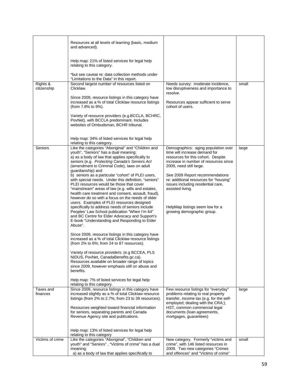|                         | Resources at all levels of learning (basic, medium<br>and advanced).                                                                                                                                                                                                                                                    |                                                                                                                                                                                |       |
|-------------------------|-------------------------------------------------------------------------------------------------------------------------------------------------------------------------------------------------------------------------------------------------------------------------------------------------------------------------|--------------------------------------------------------------------------------------------------------------------------------------------------------------------------------|-------|
|                         | Help map: 21% of listed services for legal help<br>relating to this category.                                                                                                                                                                                                                                           |                                                                                                                                                                                |       |
|                         | *but see caveat re: data collection methods under<br>"Limitations to the Data" in this report.                                                                                                                                                                                                                          |                                                                                                                                                                                |       |
| Rights &<br>citizenship | Second largest number of resources listed on<br>Clicklaw.<br>Since 2009, resource listings in this category have<br>increased as a % of total Clicklaw resource listings                                                                                                                                                | Needs survey: moderate incidence,<br>low disruptiveness and importance to<br>resolve.<br>Resources appear sufficient to serve                                                  | small |
|                         | (from 7.8% to 9%).                                                                                                                                                                                                                                                                                                      | cohort of users.                                                                                                                                                               |       |
|                         | Variety of resource providers (e.g. BCCLA, BCHRC,<br>PovNet), with BCCLA predominant. Includes<br>websites of Ombudsman, BCHR tribunal.                                                                                                                                                                                 |                                                                                                                                                                                |       |
|                         | Help map: 34% of listed services for legal help<br>relating to this category.                                                                                                                                                                                                                                           |                                                                                                                                                                                |       |
| Seniors                 | Like the categories "Aboriginal" and "Children and<br>youth", "Seniors" has a dual meaning:<br>a) as a body of law that applies specifically to<br>seniors (e.g. Protecting Canada's Seniors Act<br>(amendment to Criminal Code), laws on adult<br>guardianship) and                                                    | Demographics: aging population over<br>time will increase demand for<br>resources for this cohort. Despite<br>increase in number of resources since<br>2009, need still large. | large |
|                         | b) seniors as a particular "cohort" of PLEI users,<br>with special needs. Under this definition, "seniors"<br>PLEI resources would be those that cover<br>"mainstream" areas of law (e.g. wills and estates,<br>health care treatment and consent, assault, fraud),<br>however do so with a focus on the needs of older | See 2009 Report recommendations<br>re: additional resources for "housing"<br>issues including residential care,<br>assisted living.                                            |       |
|                         | users. Examples of PLEI resources designed<br>specifically to address needs of seniors include<br>Peoples' Law School publication "When I'm 64"<br>and BC Centre for Elder Advocacy and Support's<br>E-book "Understanding and Responding to Elder<br>Abuse".                                                           | HelpMap listings seem low for a<br>growing demographic group.                                                                                                                  |       |
|                         | Since 2009, resource listings in this category have<br>increased as a % of total Clicklaw resource listings<br>(from 2% to 6%; from 24 to 87 resources).                                                                                                                                                                |                                                                                                                                                                                |       |
|                         | Variety of resource providers: (e.g BCCEA, PLS<br>NIDUS, PovNet, CanadaBenefits.gc.ca).<br>Resources available on broader range of topics<br>since 2009, however emphasis still on abuse and<br>benefits.                                                                                                               |                                                                                                                                                                                |       |
|                         | Help map: 7% of listed services for legal help<br>relating to this category.                                                                                                                                                                                                                                            |                                                                                                                                                                                |       |
| Taxes and<br>finances   | Since 2009, resource listings in this category have<br>increased slightly as a % of total Clicklaw resource<br>listings (from 2% to 2.7%; from 23 to 39 resources).                                                                                                                                                     | Few resource listings for "everyday"<br>problems relating to real property<br>transfer, income tax (e.g. for the self-<br>employed; dealing with the CRA;),                    | large |
|                         | Resources weighted toward financial information<br>for seniors, separating parents and Canada<br>Revenue Agency site and publications.                                                                                                                                                                                  | HST, common commercial legal<br>documents (loan agreements,<br>mortgages, guarantees)                                                                                          |       |
|                         | Help map: 13% of listed services for legal help<br>relating to this category                                                                                                                                                                                                                                            |                                                                                                                                                                                |       |
| Victims of crime        | Like the categories "Aboriginal", "Children and<br>youth" and "Seniors", "Victims of crime" has a dual<br>meaning:                                                                                                                                                                                                      | New category. Formerly "victims and<br>crime", with 146 listed resources in<br>2009. Two new categories "Crimes"                                                               | small |
|                         | a) as a body of law that applies specifically to                                                                                                                                                                                                                                                                        | and offences" and "Victims of crime"                                                                                                                                           |       |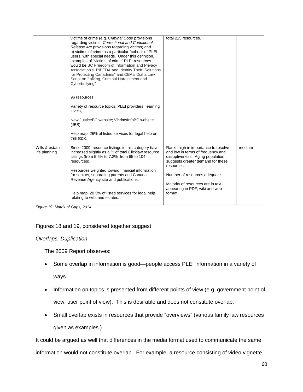|                                   | victims of crime (e.g. Criminal Code provisions<br>regarding victims, Correctional and Conditional<br>Release Act provisions regarding victims) and<br>b) victims of crime as a particular "cohort" of PLEI<br>users, with special needs. Under this definition,<br>examples of "victims of crime" PLEI resources<br>would be BC Freedom of Information and Privacy<br>Association's "PIPEDA and Identity Theft: Solutions<br>for Protecting Canadians" and CBA's Dial a Law<br>Script on "talking, Criminal Harassment and<br>Cyberbullying"<br>96 resources<br>Variety of resource topics, PLEI providers, learning<br>levels,<br>New JusticeBC website; VicrimsInfoBC website<br>(JES)<br>Help map: 26% of listed services for legal help on<br>this topic. | total 215 resources.                                                                                                                                                                                                                                                               |        |
|-----------------------------------|----------------------------------------------------------------------------------------------------------------------------------------------------------------------------------------------------------------------------------------------------------------------------------------------------------------------------------------------------------------------------------------------------------------------------------------------------------------------------------------------------------------------------------------------------------------------------------------------------------------------------------------------------------------------------------------------------------------------------------------------------------------|------------------------------------------------------------------------------------------------------------------------------------------------------------------------------------------------------------------------------------------------------------------------------------|--------|
| Wills & estates,<br>life planning | Since 2009, resource listings in this category have<br>increased slightly as a % of total Clicklaw resource<br>listings (from 5.5% to 7.2%; from 65 to 104<br>resources).<br>Resources weighted toward financial information<br>for seniors, separating parents and Canada<br>Revenue Agency site and publications.<br>Help map: 20.5% of listed services for legal help<br>relating to wills and estates.                                                                                                                                                                                                                                                                                                                                                     | Ranks high in importance to resolve<br>and low in terms of frequency and<br>disruptiveness. Aging population<br>suggests greater demand for these<br>resources.<br>Number of resources adequate.<br>Majority of resources are in text<br>appearing in PDF, wiki and web<br>format. | medium |

*Figure 19: Matrix of Gaps, 2014*

#### Figures 18 and 19, considered together suggest

#### *Overlaps, Duplication*

The 2009 Report observes:

- Some overlap in information is good—people access PLEI information in a variety of ways.
- Information on topics is presented from different points of view (e.g. government point of view, user point of view). This is desirable and does not constitute overlap.
- Small overlap exists in resources that provide "overviews" (various family law resources given as examples.)

It could be argued as well that differences in the media format used to communicate the same

information would not constitute overlap. For example, a resource consisting of video vignette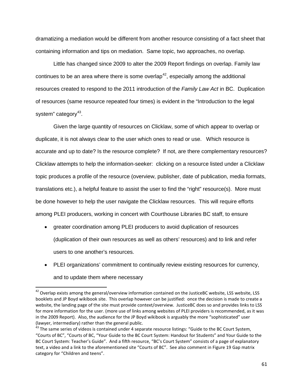dramatizing a mediation would be different from another resource consisting of a fact sheet that containing information and tips on mediation. Same topic, two approaches, no overlap.

Little has changed since 2009 to alter the 2009 Report findings on overlap. Family law continues to be an area where there is some overlap<sup>[42](#page-60-0)</sup>, especially among the additional resources created to respond to the 2011 introduction of the *Family Law Act* in BC. Duplication of resources (same resource repeated four times) is evident in the "Introduction to the legal system" category $43$ .

Given the large quantity of resources on Clicklaw, some of which appear to overlap or duplicate, it is not always clear to the user which ones to read or use. Which resource is accurate and up to date? Is the resource complete? If not, are there complementary resources? Clicklaw attempts to help the information-seeker: clicking on a resource listed under a Clicklaw topic produces a profile of the resource (overview, publisher, date of publication, media formats, translations etc.), a helpful feature to assist the user to find the "right" resource(s). More must be done however to help the user navigate the Clicklaw resources. This will require efforts among PLEI producers, working in concert with Courthouse Libraries BC staff, to ensure

- greater coordination among PLEI producers to avoid duplication of resources (duplication of their own resources as well as others' resources) and to link and refer users to one another's resources.
- PLEI organizations' commitment to continually review existing resources for currency, and to update them where necessary

<span id="page-60-0"></span><sup>&</sup>lt;sup>42</sup> Overlap exists among the general/overview information contained on the JusticeBC website, LSS website, LSS booklets and JP Boyd wikibook site. This overlap however can be justified: once the decision is made to create a website, the landing page of the site must provide context/overview. JusticeBC does so and provides links to LSS for more information for the user. (more use of links among websites of PLEI providers is recommended, as it was in the 2009 Report). Also, the audience for the JP Boyd wikibook is arguably the more "sophisticated" user (lawyer, intermediary) rather than the general public.

<span id="page-60-1"></span> $\frac{43}{43}$  The same series of videos is contained under 4 separate resource listings: "Guide to the BC Court System, "Courts of BC", "Courts of BC, "Your Guide to the BC Court System: Handout for Students" and Your Guide to the BC Court System: Teacher's Guide". And a fifth resource, "BC's Court System" consists of a page of explanatory text, a video and a link to the aforementioned site "Courts of BC". See also comment in Figure 19 Gap matrix category for "Children and teens".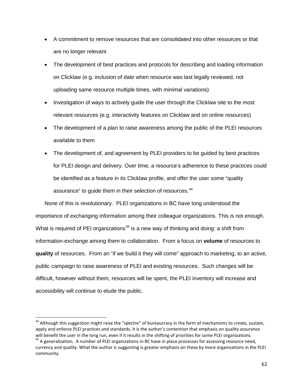- A commitment to remove resources that are consolidated into other resources or that are no longer relevant
- The development of best practices and protocols for describing and loading information on Clicklaw (e.g. inclusion of date when resource was last legally reviewed, not uploading same resource multiple times, with minimal variations)
- Investigation of ways to actively guide the user through the Clicklaw site to the most relevant resources (e.g. interactivity features on Clicklaw and on online resources)
- The development of a plan to raise awareness among the public of the PLEI resources available to them
- The development of, and agreement by PLEI providers to be guided by best practices for PLEI design and delivery. Over time, a resource's adherence to these practices could be identified as a feature in its Clicklaw profile, and offer the user some "quality assurance" to guide them in their selection of resources.<sup>[44](#page-61-0)</sup>

None of this is revolutionary. PLEI organizations in BC have long understood the importance of exchanging information among their colleague organizations. This is not enough. What is required of PEI organizations<sup>[45](#page-61-1)</sup> is a new way of thinking and doing: a shift from information-exchange among them to collaboration. From a focus on **volume** of resources to **quality** of resources. From an "if we build it they will come" approach to marketing, to an active, public campaign to raise awareness of PLEI and existing resources. Such changes will be difficult, however without them, resources will be spent, the PLEI inventory will increase and accessibility will continue to elude the public.

<span id="page-61-0"></span><sup>&</sup>lt;sup>44</sup> Although this suggestion might raise the "spectre" of bureaucracy in the form of mechanisms to create, sustain, apply and enforce PLEI practices and standards, it is the author's contention that emphasis on quality assurance will benefit the user in the long run, even if it results in the shifting of priorities for some PLEI organizations.<br><sup>45</sup> A generalization. A number of PLEI organizations in BC have in place processes for assessing resourc

<span id="page-61-1"></span>currency and quality. What the author is suggesting is greater emphasis on these by more organisations in the PLEI community.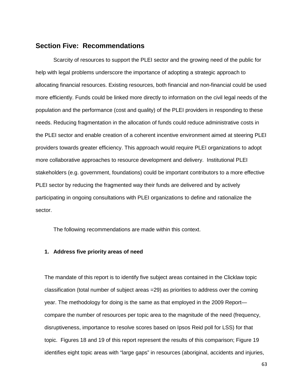### **Section Five: Recommendations**

Scarcity of resources to support the PLEI sector and the growing need of the public for help with legal problems underscore the importance of adopting a strategic approach to allocating financial resources. Existing resources, both financial and non-financial could be used more efficiently. Funds could be linked more directly to information on the civil legal needs of the population and the performance (cost and quality) of the PLEI providers in responding to these needs. Reducing fragmentation in the allocation of funds could reduce administrative costs in the PLEI sector and enable creation of a coherent incentive environment aimed at steering PLEI providers towards greater efficiency. This approach would require PLEI organizations to adopt more collaborative approaches to resource development and delivery. Institutional PLEI stakeholders (e.g. government, foundations) could be important contributors to a more effective PLEI sector by reducing the fragmented way their funds are delivered and by actively participating in ongoing consultations with PLEI organizations to define and rationalize the sector.

The following recommendations are made within this context.

#### **1. Address five priority areas of need**

The mandate of this report is to identify five subject areas contained in the Clicklaw topic classification (total number of subject areas =29) as priorities to address over the coming year. The methodology for doing is the same as that employed in the 2009 Report compare the number of resources per topic area to the magnitude of the need (frequency, disruptiveness, importance to resolve scores based on Ipsos Reid poll for LSS) for that topic. Figures 18 and 19 of this report represent the results of this comparison; Figure 19 identifies eight topic areas with "large gaps" in resources (aboriginal, accidents and injuries,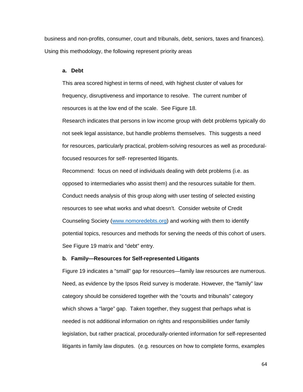business and non-profits, consumer, court and tribunals, debt, seniors, taxes and finances). Using this methodology, the following represent priority areas

#### **a. Debt**

This area scored highest in terms of need, with highest cluster of values for frequency, disruptiveness and importance to resolve. The current number of resources is at the low end of the scale. See Figure 18.

Research indicates that persons in low income group with debt problems typically do not seek legal assistance, but handle problems themselves. This suggests a need for resources, particularly practical, problem-solving resources as well as proceduralfocused resources for self- represented litigants.

Recommend: focus on need of individuals dealing with debt problems (i.e. as opposed to intermediaries who assist them) and the resources suitable for them. Conduct needs analysis of this group along with user testing of selected existing resources to see what works and what doesn't. Consider website of Credit Counseling Society [\(www.nomoredebts.org\)](http://www.nomoredebts.org/) and working with them to identify potential topics, resources and methods for serving the needs of this cohort of users. See Figure 19 matrix and "debt" entry.

#### **b. Family—Resources for Self-represented Litigants**

Figure 19 indicates a "small" gap for resources—family law resources are numerous. Need, as evidence by the Ipsos Reid survey is moderate. However, the "family" law category should be considered together with the "courts and tribunals" category which shows a "large" gap. Taken together, they suggest that perhaps what is needed is not additional information on rights and responsibilities under family legislation, but rather practical, procedurally-oriented information for self-represented litigants in family law disputes. (e.g. resources on how to complete forms, examples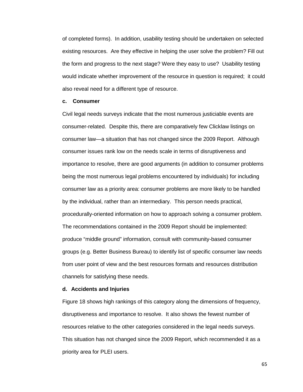of completed forms). In addition, usability testing should be undertaken on selected existing resources. Are they effective in helping the user solve the problem? Fill out the form and progress to the next stage? Were they easy to use? Usability testing would indicate whether improvement of the resource in question is required; it could also reveal need for a different type of resource.

#### **c. Consumer**

Civil legal needs surveys indicate that the most numerous justiciable events are consumer-related. Despite this, there are comparatively few Clicklaw listings on consumer law—a situation that has not changed since the 2009 Report. Although consumer issues rank low on the needs scale in terms of disruptiveness and importance to resolve, there are good arguments (in addition to consumer problems being the most numerous legal problems encountered by individuals) for including consumer law as a priority area: consumer problems are more likely to be handled by the individual, rather than an intermediary. This person needs practical, procedurally-oriented information on how to approach solving a consumer problem. The recommendations contained in the 2009 Report should be implemented: produce "middle ground" information, consult with community-based consumer groups (e.g. Better Business Bureau) to identify list of specific consumer law needs from user point of view and the best resources formats and resources distribution channels for satisfying these needs.

#### **d. Accidents and Injuries**

Figure 18 shows high rankings of this category along the dimensions of frequency, disruptiveness and importance to resolve. It also shows the fewest number of resources relative to the other categories considered in the legal needs surveys. This situation has not changed since the 2009 Report, which recommended it as a priority area for PLEI users.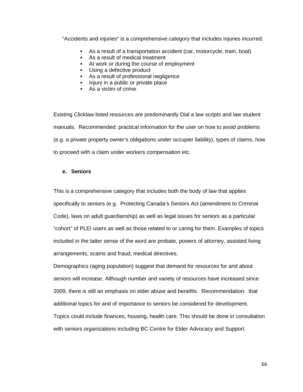"Accidents and injuries" is a comprehensive category that includes injuries incurred:

- As a result of a transportation accident (car, motorcycle, train, boat)
- As a result of medical treatment
- At work or during the course of employment
- **Using a defective product**
- As a result of professional negligence
- Injury in a public or private place
- As a victim of crime

Existing Clicklaw listed resources are predominantly Dial a law scripts and law student manuals. Recommended: practical information for the user on how to avoid problems (e.g. a private property owner's obligations under occupier liability), types of claims, how to proceed with a claim under workers compensation etc.

#### **e. Seniors**

This is a comprehensive category that includes both the body of law that applies specifically to seniors (e.g. Protecting Canada's Seniors Act (amendment to Criminal Code), laws on adult guardianship) as well as legal issues for seniors as a particular "cohort" of PLEI users as well as those related to or caring for them. Examples of topics included in the latter sense of the word are probate, powers of attorney, assisted living arrangements, scams and fraud, medical directives.

Demographics (aging population) suggest that demand for resources for and about seniors will increase. Although number and variety of resources have increased since 2009, there is still an emphasis on elder abuse and benefits. Recommendation: that additional topics for and of importance to seniors be considered for development. Topics could include finances, housing, health care. This should be done in consultation with seniors organizations including BC Centre for Elder Advocacy and Support.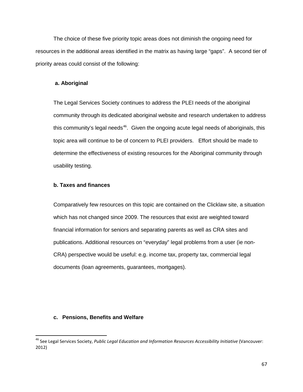The choice of these five priority topic areas does not diminish the ongoing need for resources in the additional areas identified in the matrix as having large "gaps". A second tier of priority areas could consist of the following:

#### **a. Aboriginal**

The Legal Services Society continues to address the PLEI needs of the aboriginal community through its dedicated aboriginal website and research undertaken to address this community's legal needs<sup>[46](#page-66-0)</sup>. Given the ongoing acute legal needs of aboriginals, this topic area will continue to be of concern to PLEI providers. Effort should be made to determine the effectiveness of existing resources for the Aboriginal community through usability testing.

#### **b. Taxes and finances**

Comparatively few resources on this topic are contained on the Clicklaw site, a situation which has not changed since 2009. The resources that exist are weighted toward financial information for seniors and separating parents as well as CRA sites and publications. Additional resources on "everyday" legal problems from a user (ie non-CRA) perspective would be useful: e.g. income tax, property tax, commercial legal documents (loan agreements, guarantees, mortgages).

#### **c. Pensions, Benefits and Welfare**

<span id="page-66-0"></span> <sup>46</sup> See Legal Services Society, *Public Legal Education and Information Resources Accessibility Initiative* (Vancouver: 2012)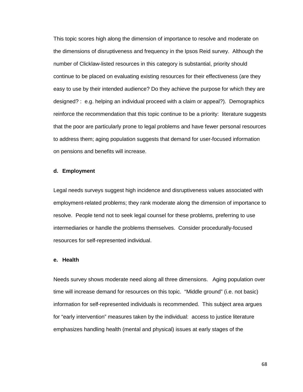This topic scores high along the dimension of importance to resolve and moderate on the dimensions of disruptiveness and frequency in the Ipsos Reid survey. Although the number of Clicklaw-listed resources in this category is substantial, priority should continue to be placed on evaluating existing resources for their effectiveness (are they easy to use by their intended audience? Do they achieve the purpose for which they are designed? : e.g. helping an individual proceed with a claim or appeal?). Demographics reinforce the recommendation that this topic continue to be a priority: literature suggests that the poor are particularly prone to legal problems and have fewer personal resources to address them; aging population suggests that demand for user-focused information on pensions and benefits will increase.

#### **d. Employment**

Legal needs surveys suggest high incidence and disruptiveness values associated with employment-related problems; they rank moderate along the dimension of importance to resolve. People tend not to seek legal counsel for these problems, preferring to use intermediaries or handle the problems themselves. Consider procedurally-focused resources for self-represented individual.

#### **e. Health**

Needs survey shows moderate need along all three dimensions. Aging population over time will increase demand for resources on this topic. "Middle ground" (i.e. not basic) information for self-represented individuals is recommended. This subject area argues for "early intervention" measures taken by the individual: access to justice literature emphasizes handling health (mental and physical) issues at early stages of the

68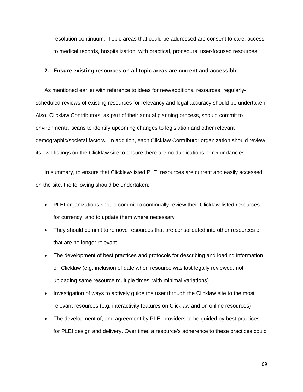resolution continuum. Topic areas that could be addressed are consent to care, access to medical records, hospitalization, with practical, procedural user-focused resources.

#### **2. Ensure existing resources on all topic areas are current and accessible**

As mentioned earlier with reference to ideas for new/additional resources, regularlyscheduled reviews of existing resources for relevancy and legal accuracy should be undertaken. Also, Clicklaw Contributors, as part of their annual planning process, should commit to environmental scans to identify upcoming changes to legislation and other relevant demographic/societal factors. In addition, each Clicklaw Contributor organization should review its own listings on the Clicklaw site to ensure there are no duplications or redundancies.

In summary, to ensure that Clicklaw-listed PLEI resources are current and easily accessed on the site, the following should be undertaken:

- PLEI organizations should commit to continually review their Clicklaw-listed resources for currency, and to update them where necessary
- They should commit to remove resources that are consolidated into other resources or that are no longer relevant
- The development of best practices and protocols for describing and loading information on Clicklaw (e.g. inclusion of date when resource was last legally reviewed, not uploading same resource multiple times, with minimal variations)
- Investigation of ways to actively guide the user through the Clicklaw site to the most relevant resources (e.g. interactivity features on Clicklaw and on online resources)
- The development of, and agreement by PLEI providers to be quided by best practices for PLEI design and delivery. Over time, a resource's adherence to these practices could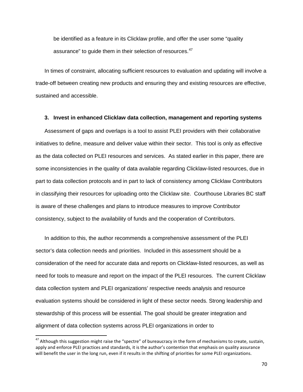be identified as a feature in its Clicklaw profile, and offer the user some "quality assurance" to quide them in their selection of resources.<sup>[47](#page-69-0)</sup>

In times of constraint, allocating sufficient resources to evaluation and updating will involve a trade-off between creating new products and ensuring they and existing resources are effective, sustained and accessible.

#### **3. Invest in enhanced Clicklaw data collection, management and reporting systems**

Assessment of gaps and overlaps is a tool to assist PLEI providers with their collaborative initiatives to define, measure and deliver value within their sector. This tool is only as effective as the data collected on PLEI resources and services. As stated earlier in this paper, there are some inconsistencies in the quality of data available regarding Clicklaw-listed resources, due in part to data collection protocols and in part to lack of consistency among Clicklaw Contributors in classifying their resources for uploading onto the Clicklaw site. Courthouse Libraries BC staff is aware of these challenges and plans to introduce measures to improve Contributor consistency, subject to the availability of funds and the cooperation of Contributors.

In addition to this, the author recommends a comprehensive assessment of the PLEI sector's data collection needs and priorities. Included in this assessment should be a consideration of the need for accurate data and reports on Clicklaw-listed resources, as well as need for tools to measure and report on the impact of the PLEI resources. The current Clicklaw data collection system and PLEI organizations' respective needs analysis and resource evaluation systems should be considered in light of these sector needs. Strong leadership and stewardship of this process will be essential. The goal should be greater integration and alignment of data collection systems across PLEI organizations in order to

<span id="page-69-0"></span><sup>&</sup>lt;sup>47</sup> Although this suggestion might raise the "spectre" of bureaucracy in the form of mechanisms to create, sustain, apply and enforce PLEI practices and standards, it is the author's contention that emphasis on quality assurance will benefit the user in the long run, even if it results in the shifting of priorities for some PLEI organizations.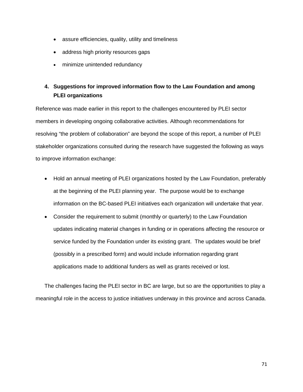- assure efficiencies, quality, utility and timeliness
- address high priority resources gaps
- minimize unintended redundancy

# **4. Suggestions for improved information flow to the Law Foundation and among PLEI organizations**

Reference was made earlier in this report to the challenges encountered by PLEI sector members in developing ongoing collaborative activities. Although recommendations for resolving "the problem of collaboration" are beyond the scope of this report, a number of PLEI stakeholder organizations consulted during the research have suggested the following as ways to improve information exchange:

- Hold an annual meeting of PLEI organizations hosted by the Law Foundation, preferably at the beginning of the PLEI planning year. The purpose would be to exchange information on the BC-based PLEI initiatives each organization will undertake that year.
- Consider the requirement to submit (monthly or quarterly) to the Law Foundation updates indicating material changes in funding or in operations affecting the resource or service funded by the Foundation under its existing grant. The updates would be brief (possibly in a prescribed form) and would include information regarding grant applications made to additional funders as well as grants received or lost.

The challenges facing the PLEI sector in BC are large, but so are the opportunities to play a meaningful role in the access to justice initiatives underway in this province and across Canada.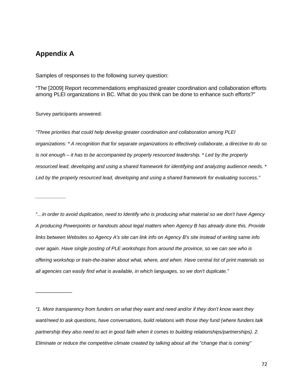# **Appendix A**

*\_\_\_\_\_\_\_\_\_\_\_*

\_\_\_\_\_\_\_\_\_\_\_\_

Samples of responses to the following survey question:

"The [2009] Report recommendations emphasized greater coordination and collaboration efforts among PLEI organizations in BC. What do you think can be done to enhance such efforts?"

Survey participants answered:

*"Three priorities that could help develop greater coordination and collaboration among PLEI organizations: \* A recognition that for separate organizations to effectively collaborate, a directive to do so is not enough – it has to be accompanied by properly resourced leadership. \* Led by the properly resourced lead, developing and using a shared framework for identifying and analyzing audience needs. \* Led by the properly resourced lead, developing and using a shared framework for evaluating success."*

*"…in order to avoid duplication, need to Identify who is producing what material so we don't have Agency A producing Powerpoints or handouts about legal matters when Agency B has already done this. Provide links between Websites so Agency A's site can link info on Agency B's site instead of writing same info over again. Have single posting of PLE workshops from around the province, so we can see who is offering workshop or train-the-trainer about what, where, and when. Have central list of print materials so all agencies can easily find what is available, in which languages, so we don't duplicate."*

*"1. More transparency from funders on what they want and need and/or if they don't know want they want/need to ask questions, have conversations, build relations with those they fund (where funders talk partnership they also need to act in good faith when it comes to building relationships/partnerships). 2. Eliminate or reduce the competitive climate created by talking about all the "change that is coming"*